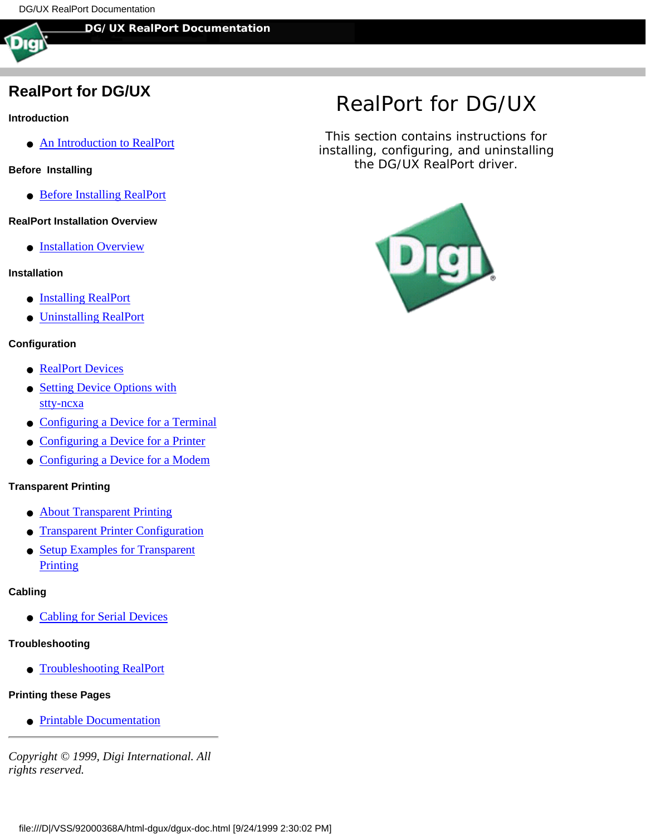#### **DG/UX RealPort Documentation**

## **RealPort for DG/UX**

#### **Introduction**

- [An Introduction to RealPort](#page-1-0)
- **Before Installing**
	- [Before Installing RealPort](#page-2-0)

#### **RealPort Installation Overview**

**• [Installation Overview](#page-3-0)** 

#### **Installation**

- [Installing RealPort](#page-4-0)
- [Uninstalling RealPort](#page-6-0)

#### **Configuration**

- [RealPort Devices](#page-7-0)
- [Setting Device Options with](#page-9-0) [stty-ncxa](#page-9-0)
- [Configuring a Device for a Terminal](#page-10-0)
- [Configuring a Device for a Printer](#page-11-0)
- [Configuring a Device for a Modem](#page-12-0)

#### **Transparent Printing**

- [About Transparent Printing](#page-16-0)
- [Transparent Printer Configuration](#page-17-0)
- [Setup Examples for Transparent](#page-18-0) **[Printing](#page-18-0)**

#### **Cabling**

● [Cabling for Serial Devices](#page-19-0)

#### **Troubleshooting**

● [Troubleshooting RealPort](#page-20-0)

#### **Printing these Pages**

● [Printable Documentation](#page-21-0)

*Copyright © 1999, Digi International. All rights reserved.*

# *RealPort for DG/UX*

This section contains instructions for installing, configuring, and uninstalling the DG/UX RealPort driver.

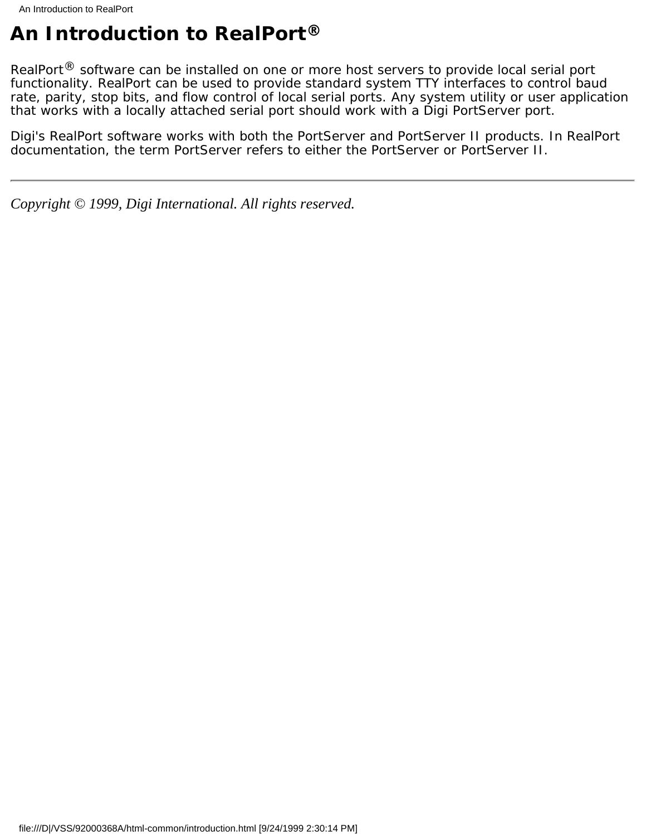# <span id="page-1-0"></span>**An Introduction to RealPort®**

RealPort<sup>®</sup> software can be installed on one or more host servers to provide local serial port functionality. RealPort can be used to provide standard system TTY interfaces to control baud rate, parity, stop bits, and flow control of local serial ports. Any system utility or user application that works with a locally attached serial port should work with a Digi PortServer port.

Digi's RealPort software works with both the PortServer and PortServer II products. In RealPort documentation, the term PortServer refers to either the PortServer or PortServer II.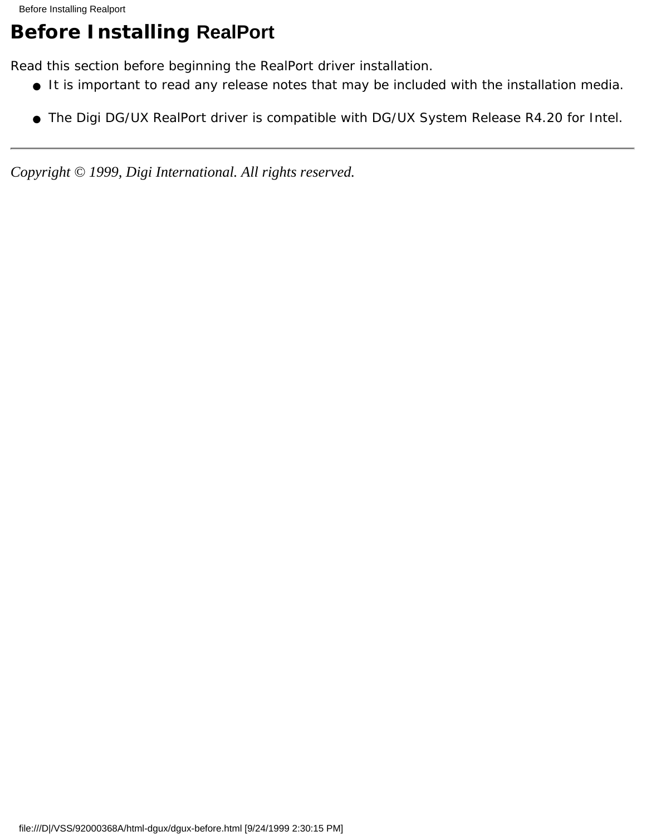# <span id="page-2-0"></span>**Before Installing RealPort**

Read this section before beginning the RealPort driver installation.

- It is important to read any release notes that may be included with the installation media.
- The Digi DG/UX RealPort driver is compatible with DG/UX System Release R4.20 for Intel.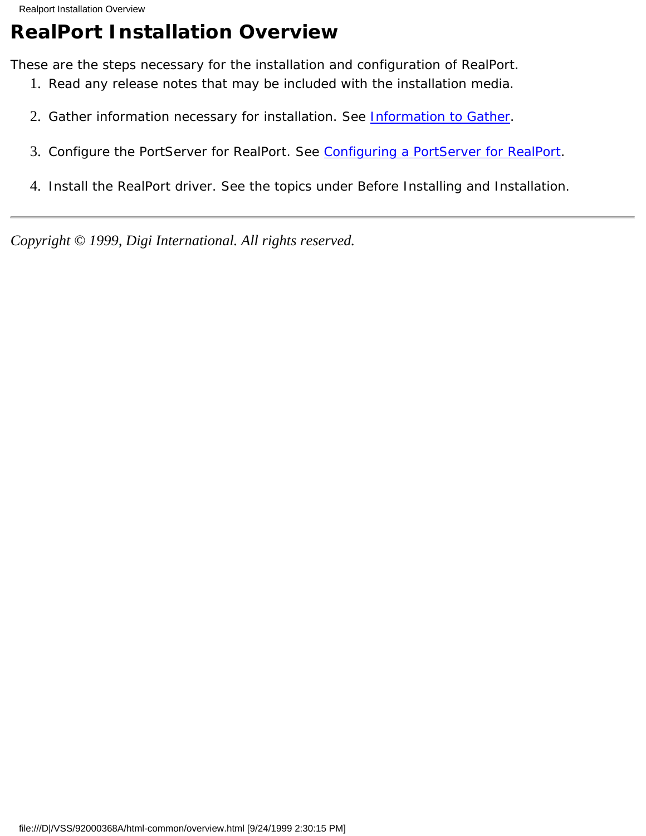# <span id="page-3-0"></span>**RealPort Installation Overview**

These are the steps necessary for the installation and configuration of RealPort.

- 1. Read any release notes that may be included with the installation media.
- 2. Gather information necessary for installation. See **Information to Gather**.
- 3. Configure the PortServer for RealPort. See [Configuring a PortServer for RealPort.](#page-23-0)
- 4. Install the RealPort driver. See the topics under *Before Installing* and *Installation*.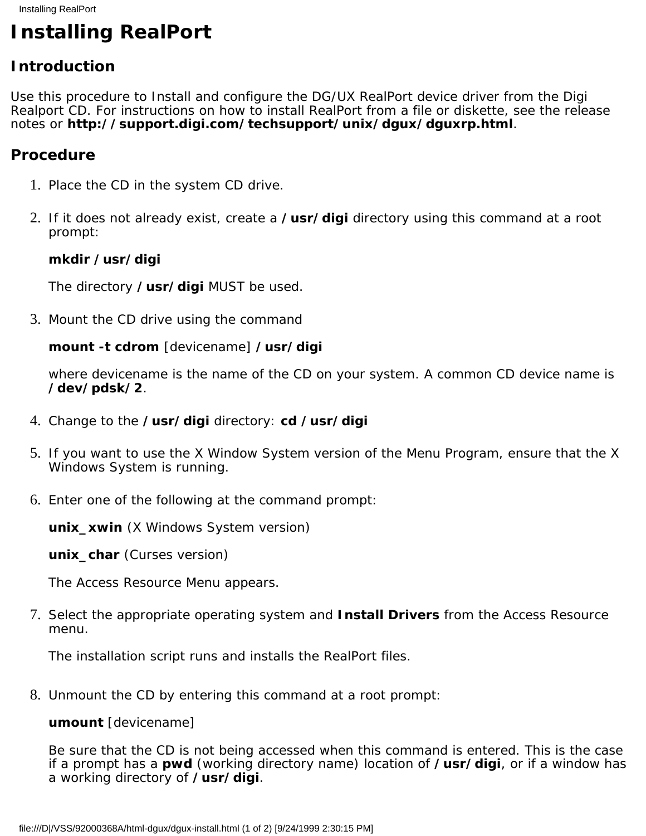# <span id="page-4-0"></span>**Installing RealPort**

## **Introduction**

Use this procedure to Install and configure the DG/UX RealPort device driver from the Digi Realport CD. For instructions on how to install RealPort from a file or diskette, see the release notes or **http://support.digi.com/techsupport/unix/dgux/dguxrp.html**.

### **Procedure**

- 1. Place the CD in the system CD drive.
- If it does not already exist, create a **/usr/digi** directory using this command at a root 2. prompt:

### **mkdir /usr/digi**

The directory **/usr/digi** MUST be used.

3. Mount the CD drive using the command

### **mount -t cdrom** *[devicename]* **/usr/digi**

where *devicename* is the name of the CD on your system. A common CD device name is **/dev/pdsk/2**.

- 4. Change to the **/usr/digi** directory: **cd /usr/digi**
- 5. If you want to use the X Window System version of the Menu Program, ensure that the X Windows System is running.
- 6. Enter one of the following at the command prompt:

**unix\_xwin** (X Windows System version)

**unix\_char** (Curses version)

The Access Resource Menu appears.

7. Select the appropriate operating system and **Install Drivers** from the Access Resource menu.

The installation script runs and installs the RealPort files.

Unmount the CD by entering this command at a root prompt: 8.

### **umount** *[devicename]*

Be sure that the CD is not being accessed when this command is entered. This is the case if a prompt has a **pwd** (working directory name) location of **/usr/digi**, or if a window has a working directory of **/usr/digi**.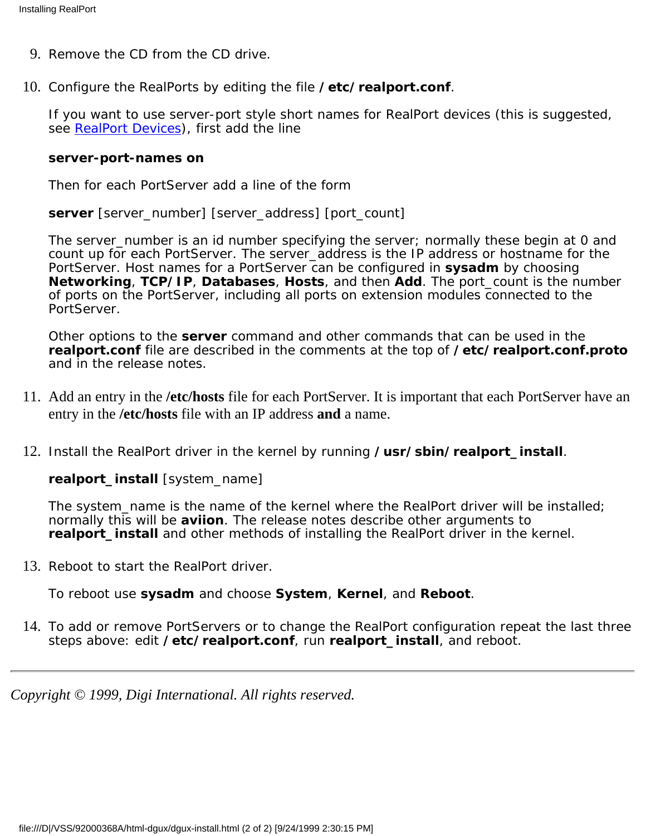- 9. Remove the CD from the CD drive.
- 10. Configure the RealPorts by editing the file /etc/realport.conf.

If you want to use server-port style short names for RealPort devices (this is suggested, see [RealPort Devices\)](#page-7-0), first add the line

#### **server-port-names on**

Then for each PortServer add a line of the form

**server** *[server\_number] [server\_address] [port\_count]*

The *server\_number* is an id number specifying the server; normally these begin at 0 and count up for each PortServer. The *server\_address* is the IP address or hostname for the PortServer. Host names for a PortServer can be configured in **sysadm** by choosing **Networking**, **TCP/IP**, **Databases**, **Hosts**, and then **Add**. The *port\_count* is the number of ports on the PortServer, including all ports on extension modules connected to the PortServer.

Other options to the **server** command and other commands that can be used in the **realport.conf** file are described in the comments at the top of **/etc/realport.conf.proto** and in the release notes.

- Add an entry in the **/etc/hosts** file for each PortServer. It is important that each PortServer have an 11. entry in the **/etc/hosts** file with an IP address **and** a name.
- 12. Install the RealPort driver in the kernel by running /usr/sbin/realport\_install.

**realport\_install** *[system\_name]*

The *system\_name* is the name of the kernel where the RealPort driver will be installed; normally this will be **aviion**. The release notes describe other arguments to **realport\_install** and other methods of installing the RealPort driver in the kernel.

13. Reboot to start the RealPort driver.

To reboot use **sysadm** and choose **System**, **Kernel**, and **Reboot**.

14. To add or remove PortServers or to change the RealPort configuration repeat the last three steps above: edit **/etc/realport.conf**, run **realport\_install**, and reboot.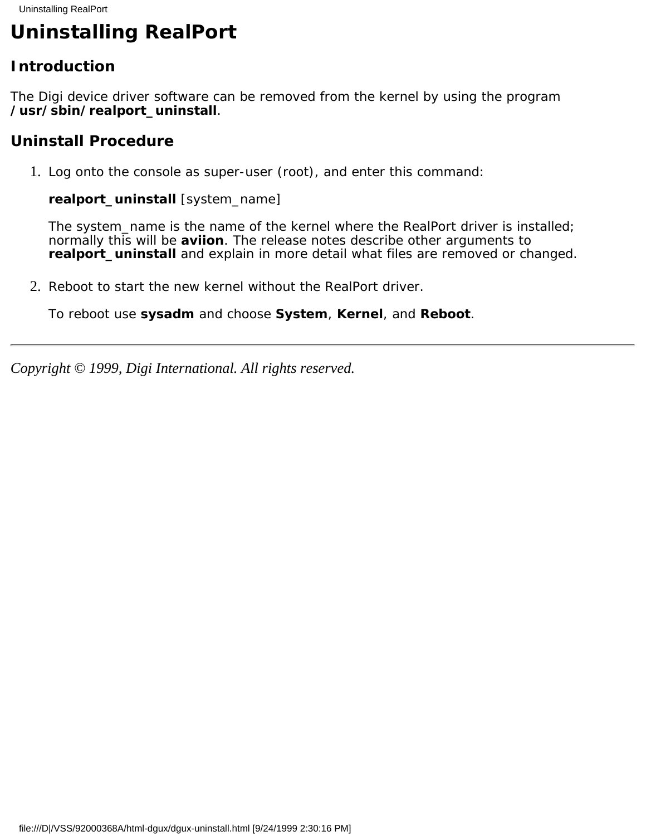# <span id="page-6-0"></span>**Uninstalling RealPort**

## **Introduction**

The Digi device driver software can be removed from the kernel by using the program **/usr/sbin/realport\_uninstall**.

## **Uninstall Procedure**

1. Log onto the console as super-user (root), and enter this command:

**realport\_uninstall** *[system\_name]*

The *system\_name* is the name of the kernel where the RealPort driver is installed; normally this will be **aviion**. The release notes describe other arguments to **realport\_uninstall** and explain in more detail what files are removed or changed.

2. Reboot to start the new kernel without the RealPort driver.

To reboot use **sysadm** and choose **System**, **Kernel**, and **Reboot**.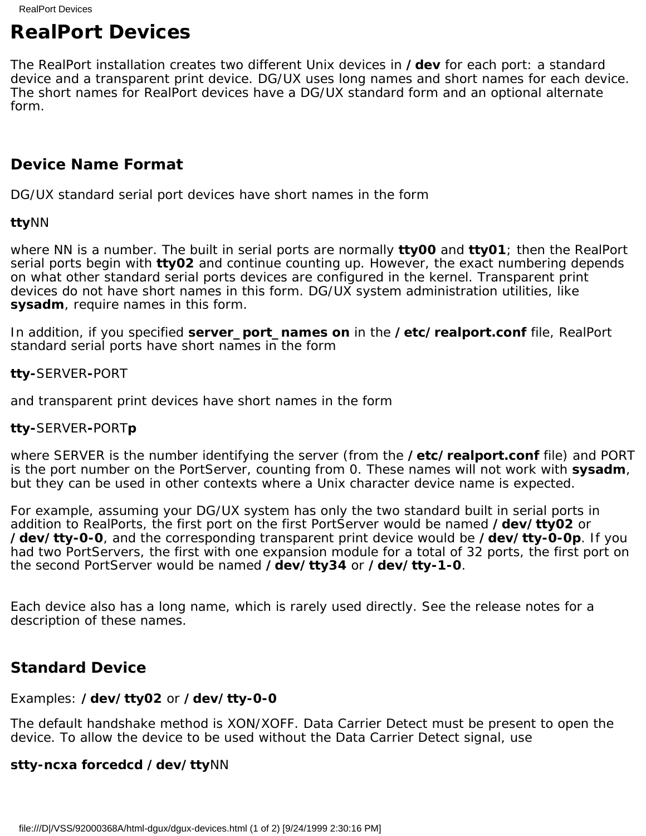# <span id="page-7-0"></span>**RealPort Devices**

The RealPort installation creates two different Unix devices in **/dev** for each port: a standard device and a transparent print device. DG/UX uses long names and short names for each device. The short names for RealPort devices have a DG/UX standard form and an optional alternate form.

## **Device Name Format**

DG/UX standard serial port devices have short names in the form

#### **tty***NN*

where *NN* is a number. The built in serial ports are normally **tty00** and **tty01**; then the RealPort serial ports begin with **tty02** and continue counting up. However, the exact numbering depends on what other standard serial ports devices are configured in the kernel. Transparent print devices do not have short names in this form. DG/UX system administration utilities, like **sysadm**, require names in this form.

In addition, if you specified **server\_port\_names on** in the **/etc/realport.conf** file, RealPort standard serial ports have short names in the form

### **tty-***SERVER***-***PORT*

and transparent print devices have short names in the form

### **tty-***SERVER***-***PORT***p**

where *SERVER* is the number identifying the server (from the **/etc/realport.conf** file) and *PORT* is the port number on the PortServer, counting from 0. These names will not work with **sysadm**, but they can be used in other contexts where a Unix character device name is expected.

For example, assuming your DG/UX system has only the two standard built in serial ports in addition to RealPorts, the first port on the first PortServer would be named **/dev/tty02** or **/dev/tty-0-0**, and the corresponding transparent print device would be **/dev/tty-0-0p**. If you had two PortServers, the first with one expansion module for a total of 32 ports, the first port on the second PortServer would be named **/dev/tty34** or **/dev/tty-1-0**.

Each device also has a long name, which is rarely used directly. See the release notes for a description of these names.

## **Standard Device**

### Examples: **/dev/tty02** or **/dev/tty-0-0**

The default handshake method is XON/XOFF. Data Carrier Detect must be present to open the device. To allow the device to be used without the Data Carrier Detect signal, use

### **stty-ncxa forcedcd /dev/tty***NN*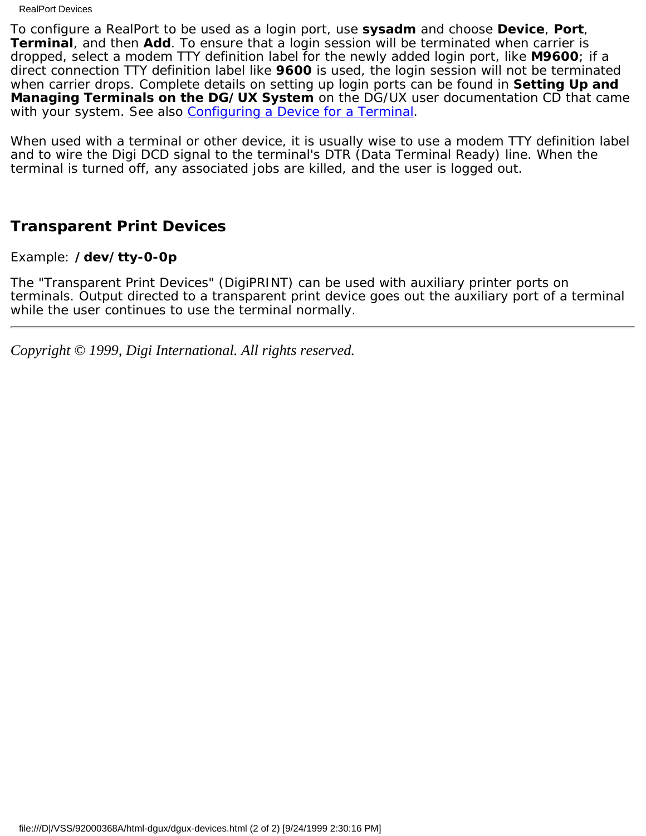RealPort Devices

To configure a RealPort to be used as a login port, use **sysadm** and choose **Device**, **Port**, **Terminal**, and then **Add**. To ensure that a login session will be terminated when carrier is dropped, select a modem TTY definition label for the newly added login port, like **M9600**; if a direct connection TTY definition label like **9600** is used, the login session will not be terminated when carrier drops. Complete details on setting up login ports can be found in **Setting Up and Managing Terminals on the DG/UX System** on the DG/UX user documentation CD that came with your system. See also [Configuring a Device for a Terminal](#page-10-0).

When used with a terminal or other device, it is usually wise to use a modem TTY definition label and to wire the Digi DCD signal to the terminal's DTR (Data Terminal Ready) line. When the terminal is turned off, any associated jobs are killed, and the user is logged out.

## **Transparent Print Devices**

Example: **/dev/tty-0-0p**

The "Transparent Print Devices" (DigiPRINT) can be used with auxiliary printer ports on terminals. Output directed to a transparent print device goes out the auxiliary port of a terminal while the user continues to use the terminal normally.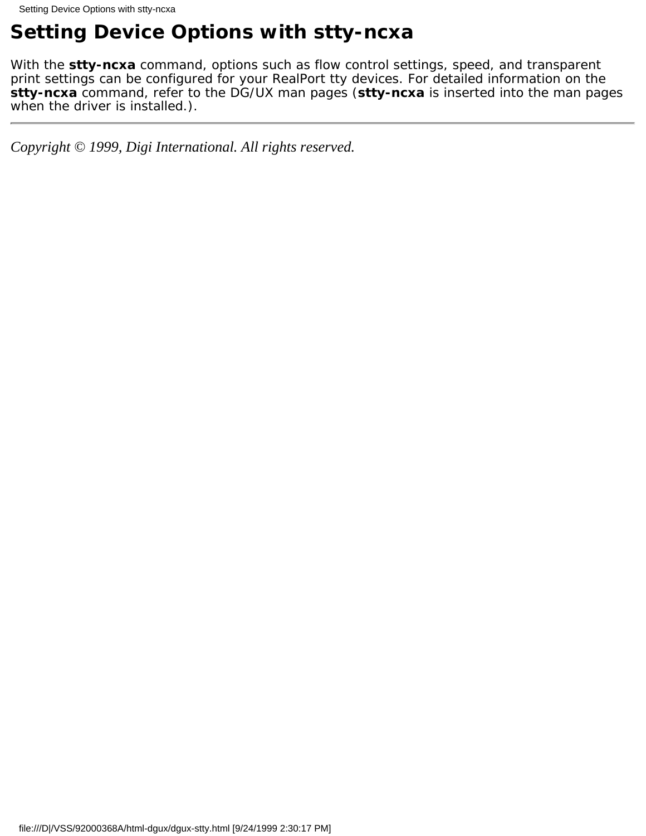# <span id="page-9-0"></span>**Setting Device Options with stty-ncxa**

With the **stty-ncxa** command, options such as flow control settings, speed, and transparent print settings can be configured for your RealPort tty devices. For detailed information on the **stty-ncxa** command, refer to the DG/UX man pages (**stty-ncxa** is inserted into the man pages when the driver is installed.).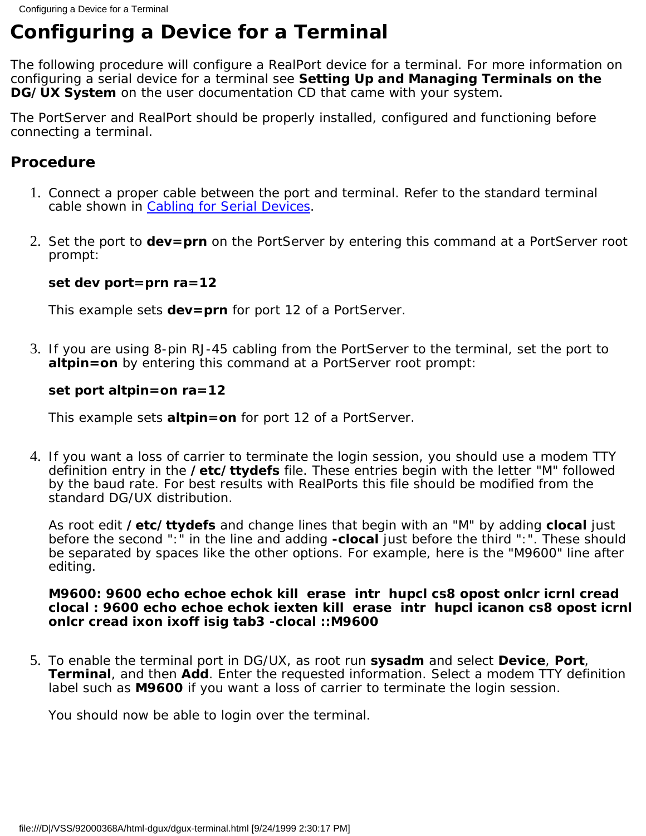# <span id="page-10-0"></span>**Configuring a Device for a Terminal**

The following procedure will configure a RealPort device for a terminal. For more information on configuring a serial device for a terminal see **Setting Up and Managing Terminals on the DG/UX System** on the user documentation CD that came with your system.

The PortServer and RealPort should be properly installed, configured and functioning before connecting a terminal.

## **Procedure**

- 1. Connect a proper cable between the port and terminal. Refer to the standard terminal cable shown in [Cabling for Serial Devices](#page-19-0).
- 2. Set the port to dev=prn on the PortServer by entering this command at a PortServer root prompt:

### **set dev port=prn ra=12**

This example sets **dev=prn** for port 12 of a PortServer.

3. If you are using 8-pin RJ-45 cabling from the PortServer to the terminal, set the port to **altpin=on** by entering this command at a PortServer root prompt:

### **set port altpin=on ra=12**

This example sets **altpin=on** for port 12 of a PortServer.

4. If you want a loss of carrier to terminate the login session, you should use a modem TTY definition entry in the **/etc/ttydefs** file. These entries begin with the letter "M" followed by the baud rate. For best results with RealPorts this file should be modified from the standard DG/UX distribution.

As root edit **/etc/ttydefs** and change lines that begin with an "M" by adding **clocal** just before the second ":" in the line and adding **-clocal** just before the third ":". These should be separated by spaces like the other options. For example, here is the "M9600" line after editing.

### **M9600: 9600 echo echoe echok kill erase intr hupcl cs8 opost onlcr icrnl cread clocal : 9600 echo echoe echok iexten kill erase intr hupcl icanon cs8 opost icrnl onlcr cread ixon ixoff isig tab3 -clocal ::M9600**

To enable the terminal port in DG/UX, as root run **sysadm** and select **Device**, **Port**, 5. **Terminal**, and then **Add**. Enter the requested information. Select a modem TTY definition label such as **M9600** if you want a loss of carrier to terminate the login session.

You should now be able to login over the terminal.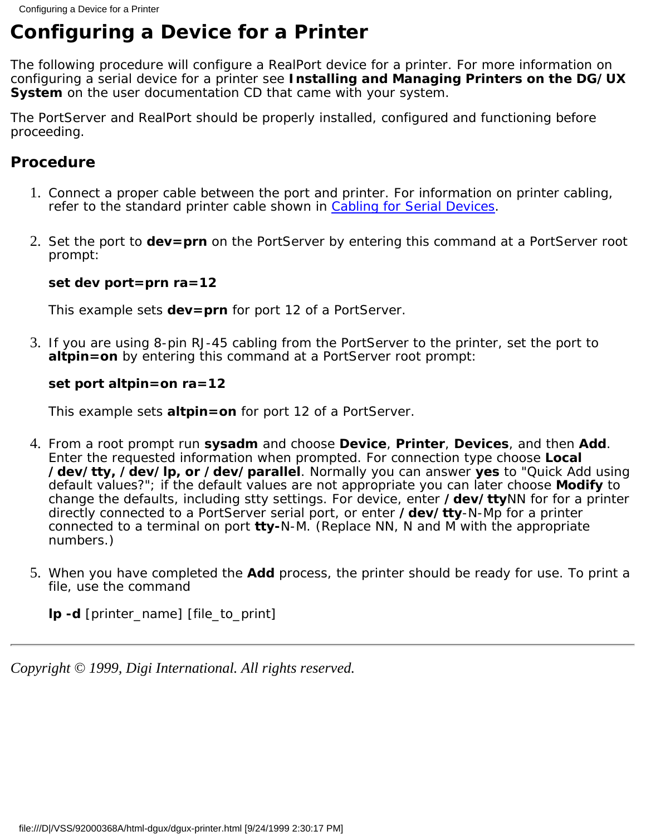# <span id="page-11-0"></span>**Configuring a Device for a Printer**

The following procedure will configure a RealPort device for a printer. For more information on configuring a serial device for a printer see **Installing and Managing Printers on the DG/UX System** on the user documentation CD that came with your system.

The PortServer and RealPort should be properly installed, configured and functioning before proceeding.

## **Procedure**

- 1. Connect a proper cable between the port and printer. For information on printer cabling, refer to the standard printer cable shown in [Cabling for Serial Devices](#page-19-0).
- 2. Set the port to dev=prn on the PortServer by entering this command at a PortServer root prompt:

### **set dev port=prn ra=12**

This example sets **dev=prn** for port 12 of a PortServer.

3. If you are using 8-pin RJ-45 cabling from the PortServer to the printer, set the port to **altpin=on** by entering this command at a PortServer root prompt:

### **set port altpin=on ra=12**

This example sets **altpin=on** for port 12 of a PortServer.

- From a root prompt run **sysadm** and choose **Device**, **Printer**, **Devices**, and then **Add**. 4. Enter the requested information when prompted. For connection type choose **Local /dev/tty, /dev/lp, or /dev/parallel**. Normally you can answer **yes** to "Quick Add using default values?"; if the default values are not appropriate you can later choose **Modify** to change the defaults, including stty settings. For device, enter **/dev/tty***NN* for for a printer directly connected to a PortServer serial port, or enter **/dev/tty***-N-Mp* for a printer connected to a terminal on port **tty***-N-M*. (Replace NN, N and M with the appropriate numbers.)
- 5. When you have completed the **Add** process, the printer should be ready for use. To print a file, use the command

**lp -d** *[printer\_name] [file\_to\_print]*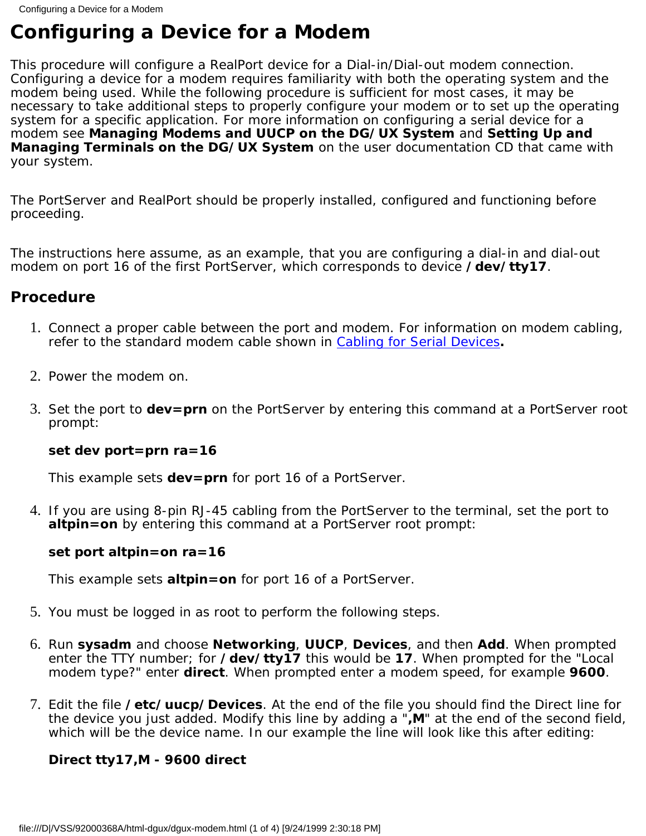# <span id="page-12-0"></span>**Configuring a Device for a Modem**

This procedure will configure a RealPort device for a Dial-in/Dial-out modem connection. Configuring a device for a modem requires familiarity with both the operating system and the modem being used. While the following procedure is sufficient for most cases, it may be necessary to take additional steps to properly configure your modem or to set up the operating system for a specific application. For more information on configuring a serial device for a modem see **Managing Modems and UUCP on the DG/UX System** and **Setting Up and Managing Terminals on the DG/UX System** on the user documentation CD that came with your system.

The PortServer and RealPort should be properly installed, configured and functioning before proceeding.

The instructions here assume, as an example, that you are configuring a dial-in and dial-out modem on port 16 of the first PortServer, which corresponds to device **/dev/tty17**.

## **Procedure**

- 1. Connect a proper cable between the port and modem. For information on modem cabling, refer to the standard modem cable shown in [Cabling for Serial Devices](#page-19-0)**.**
- 2. Power the modem on.
- Set the port to **dev=prn** on the PortServer by entering this command at a PortServer root 3. prompt:

### **set dev port=prn ra=16**

This example sets **dev=prn** for port 16 of a PortServer.

4. If you are using 8-pin RJ-45 cabling from the PortServer to the terminal, set the port to **altpin=on** by entering this command at a PortServer root prompt:

### **set port altpin=on ra=16**

This example sets **altpin=on** for port 16 of a PortServer.

- 5. You must be logged in as root to perform the following steps.
- Run **sysadm** and choose **Networking**, **UUCP**, **Devices**, and then **Add**. When prompted 6. enter the TTY number; for **/dev/tty17** this would be **17**. When prompted for the "Local modem type?" enter **direct**. When prompted enter a modem speed, for example **9600**.
- Edit the file **/etc/uucp/Devices**. At the end of the file you should find the Direct line for 7. the device you just added. Modify this line by adding a "**,M**" at the end of the second field, which will be the device name. In our example the line will look like this after editing:

## **Direct tty17,M - 9600 direct**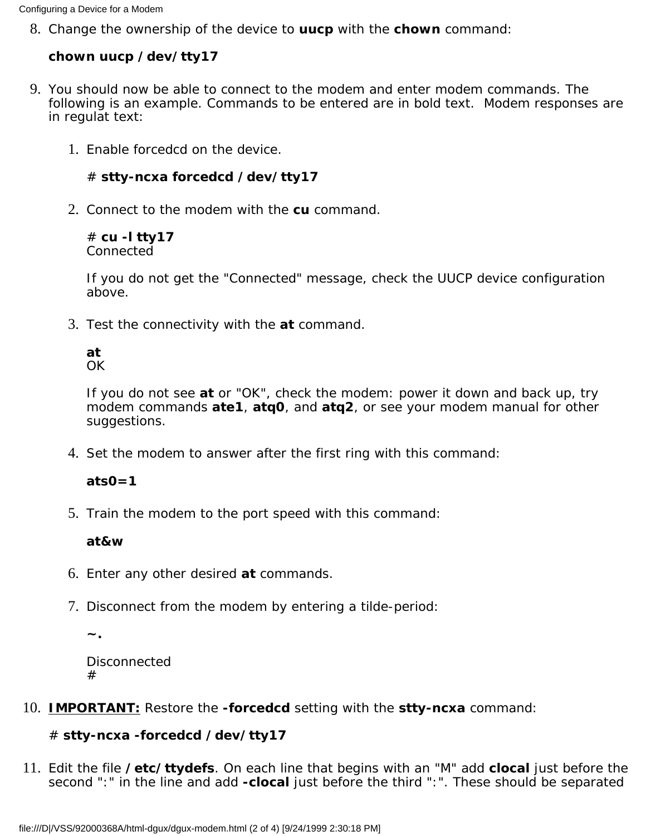Change the ownership of the device to **uucp** with the **chown** command: 8.

### **chown uucp /dev/tty17**

- You should now be able to connect to the modem and enter modem commands. The 9. following is an example. Commands to be entered are in bold text. Modem responses are in regulat text:
	- Enable forcedcd on the device. 1.

```
# stty-ncxa forcedcd /dev/tty17
```
2. Connect to the modem with the cu command.

# **cu -l tty17** Connected

If you do not get the "Connected" message, check the UUCP device configuration above.

Test the connectivity with the **at** command. 3.

## **at**

OK

If you do not see **at** or "OK", check the modem: power it down and back up, try modem commands **ate1**, **atq0**, and **atq2**, or see your modem manual for other suggestions.

4. Set the modem to answer after the first ring with this command:

### **ats0=1**

5. Train the modem to the port speed with this command:

#### **at&w**

- 6. Enter any other desired **at** commands.
- 7. Disconnect from the modem by entering a tilde-period:

**~.**

Disconnected #

**IMPORTANT:** Restore the **-forcedcd** setting with the **stty-ncxa** command: 10.

### # **stty-ncxa -forcedcd /dev/tty17**

Edit the file **/etc/ttydefs**. On each line that begins with an "M" add **clocal** just before the 11. second ":" in the line and add **-clocal** just before the third ":". These should be separated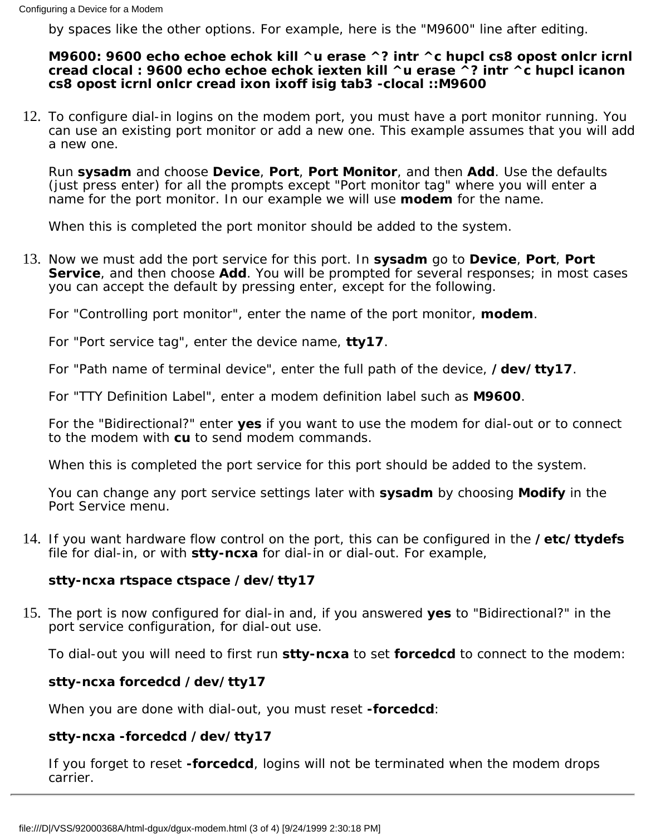by spaces like the other options. For example, here is the "M9600" line after editing.

### **M9600: 9600 echo echoe echok kill ^u erase ^? intr ^c hupcl cs8 opost onlcr icrnl cread clocal : 9600 echo echoe echok iexten kill ^u erase ^? intr ^c hupcl icanon cs8 opost icrnl onlcr cread ixon ixoff isig tab3 -clocal ::M9600**

12. To configure dial-in logins on the modem port, you must have a port monitor running. You can use an existing port monitor or add a new one. This example assumes that you will add a new one.

Run **sysadm** and choose **Device**, **Port**, **Port Monitor**, and then **Add**. Use the defaults (just press enter) for all the prompts except "Port monitor tag" where you will enter a name for the port monitor. In our example we will use **modem** for the name.

When this is completed the port monitor should be added to the system.

13. Now we must add the port service for this port. In **sysadm** go to Device, Port, Port **Service**, and then choose **Add**. You will be prompted for several responses; in most cases you can accept the default by pressing enter, except for the following.

For "Controlling port monitor", enter the name of the port monitor, **modem**.

For "Port service tag", enter the device name, **tty17**.

For "Path name of terminal device", enter the full path of the device, **/dev/tty17**.

For "TTY Definition Label", enter a modem definition label such as **M9600**.

For the "Bidirectional?" enter **yes** if you want to use the modem for dial-out or to connect to the modem with **cu** to send modem commands.

When this is completed the port service for this port should be added to the system.

You can change any port service settings later with **sysadm** by choosing **Modify** in the Port Service menu.

If you want hardware flow control on the port, this can be configured in the **/etc/ttydefs** 14. file for dial-in, or with **stty-ncxa** for dial-in or dial-out. For example,

#### **stty-ncxa rtspace ctspace /dev/tty17**

15. The port is now configured for dial-in and, if you answered yes to "Bidirectional?" in the port service configuration, for dial-out use.

To dial-out you will need to first run **stty-ncxa** to set **forcedcd** to connect to the modem:

### **stty-ncxa forcedcd /dev/tty17**

When you are done with dial-out, you must reset **-forcedcd**:

### **stty-ncxa -forcedcd /dev/tty17**

If you forget to reset **-forcedcd**, logins will not be terminated when the modem drops carrier.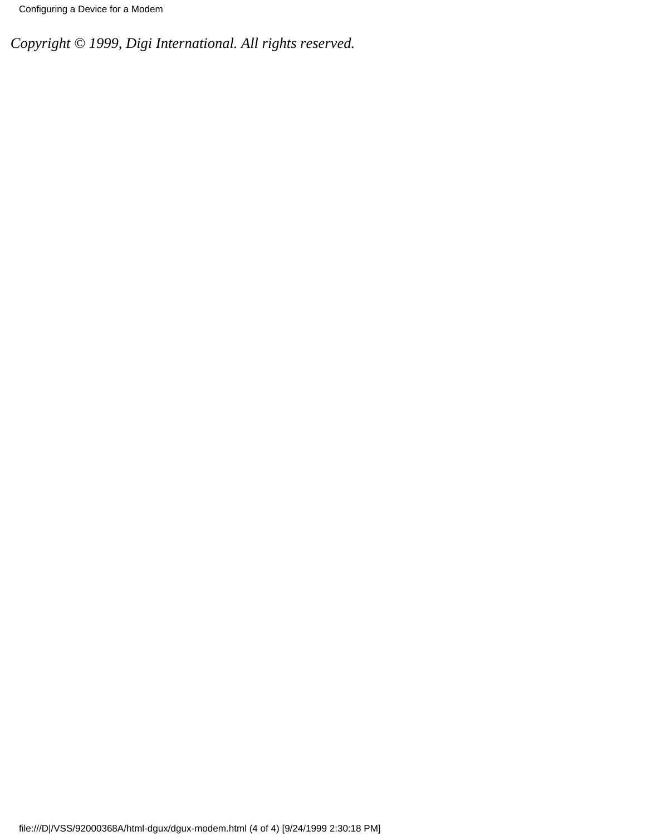Configuring a Device for a Modem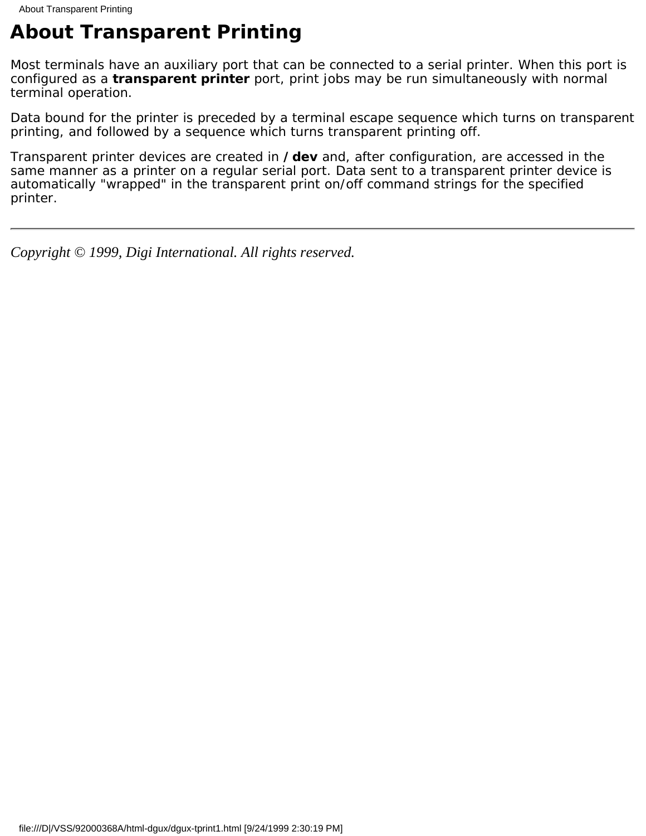# <span id="page-16-0"></span>**About Transparent Printing**

Most terminals have an auxiliary port that can be connected to a serial printer. When this port is configured as a **transparent printer** port, print jobs may be run simultaneously with normal terminal operation.

Data bound for the printer is preceded by a terminal escape sequence which turns on transparent printing, and followed by a sequence which turns transparent printing off.

Transparent printer devices are created in **/dev** and, after configuration, are accessed in the same manner as a printer on a regular serial port. Data sent to a transparent printer device is automatically "wrapped" in the transparent print on/off command strings for the specified printer.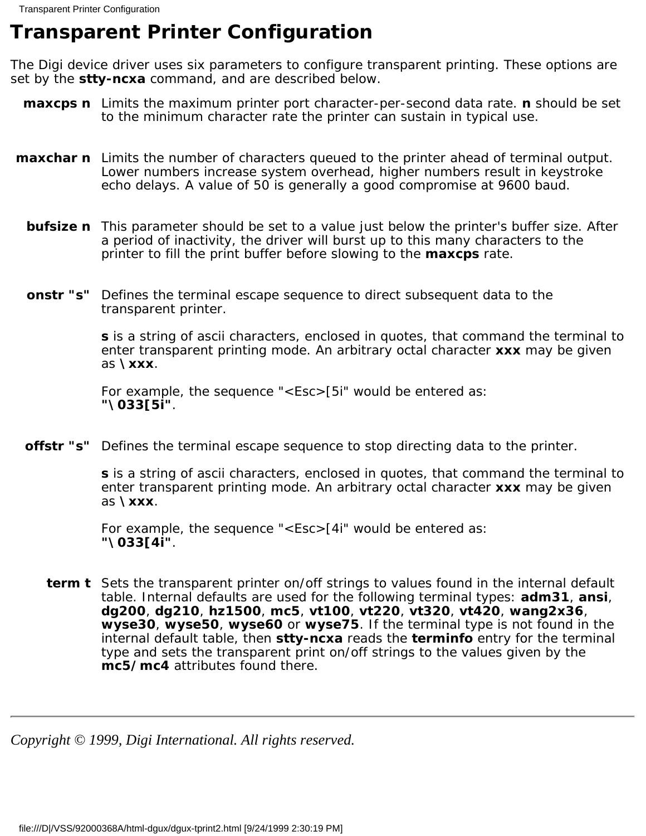## <span id="page-17-0"></span>**Transparent Printer Configuration**

The Digi device driver uses six parameters to configure transparent printing. These options are set by the **stty-ncxa** command, and are described below.

- **maxcps n** Limits the maximum printer port character-per-second data rate. **n** should be set to the minimum character rate the printer can sustain in typical use.
- **maxchar n** Limits the number of characters queued to the printer ahead of terminal output. Lower numbers increase system overhead, higher numbers result in keystroke echo delays. A value of 50 is generally a good compromise at 9600 baud.
	- **bufsize n** This parameter should be set to a value just below the printer's buffer size. After a period of inactivity, the driver will burst up to this many characters to the printer to fill the print buffer before slowing to the **maxcps** rate.
	- **onstr** "s" Defines the terminal escape sequence to direct subsequent data to the transparent printer.

**s** is a string of ascii characters, enclosed in quotes, that command the terminal to enter transparent printing mode. An arbitrary octal character **xxx** may be given as **\xxx**.

For example, the sequence "<Esc>[5i" would be entered as: **"\033[5i"**.

**offstr** "s" Defines the terminal escape sequence to stop directing data to the printer.

**s** is a string of ascii characters, enclosed in quotes, that command the terminal to enter transparent printing mode. An arbitrary octal character **xxx** may be given as **\xxx**.

For example, the sequence "<Esc>[4i" would be entered as: **"\033[4i"**.

**term t** Sets the transparent printer on/off strings to values found in the internal default table. Internal defaults are used for the following terminal types: **adm31**, **ansi**, **dg200**, **dg210**, **hz1500**, **mc5**, **vt100**, **vt220**, **vt320**, **vt420**, **wang2x36**, **wyse30**, **wyse50**, **wyse60** or **wyse75**. If the terminal type is not found in the internal default table, then **stty-ncxa** reads the **terminfo** entry for the terminal type and sets the transparent print on/off strings to the values given by the **mc5/mc4** attributes found there.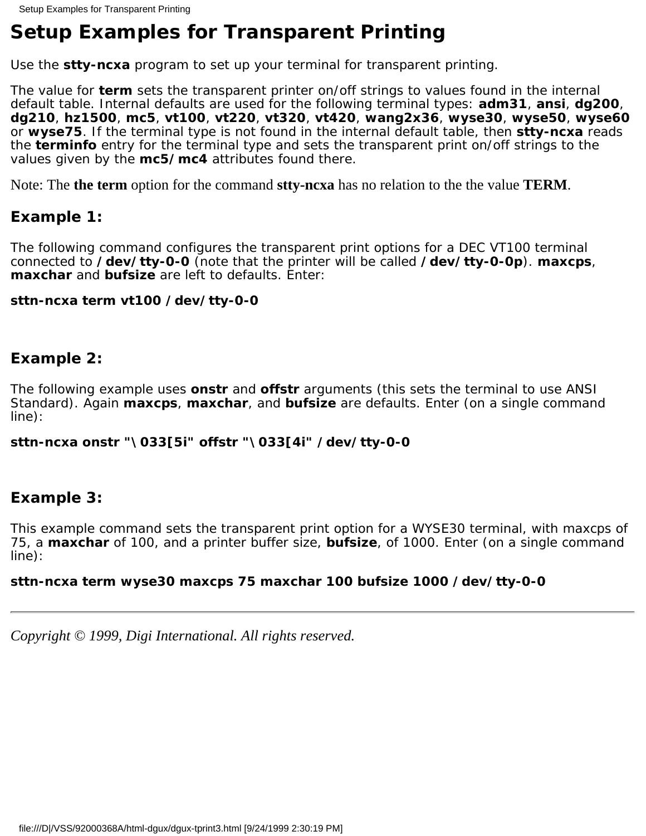# <span id="page-18-0"></span>**Setup Examples for Transparent Printing**

Use the **stty-ncxa** program to set up your terminal for transparent printing.

The value for **term** sets the transparent printer on/off strings to values found in the internal default table. Internal defaults are used for the following terminal types: **adm31**, **ansi**, **dg200**, **dg210**, **hz1500**, **mc5**, **vt100**, **vt220**, **vt320**, **vt420**, **wang2x36**, **wyse30**, **wyse50**, **wyse60** or **wyse75**. If the terminal type is not found in the internal default table, then **stty-ncxa** reads the **terminfo** entry for the terminal type and sets the transparent print on/off strings to the values given by the **mc5/mc4** attributes found there.

Note: The **the term** option for the command **stty-ncxa** has no relation to the the value **TERM**.

## **Example 1:**

The following command configures the transparent print options for a DEC VT100 terminal connected to **/dev/tty-0-0** (note that the printer will be called **/dev/tty-0-0p**). **maxcps**, **maxchar** and **bufsize** are left to defaults. Enter:

### **sttn-ncxa term vt100 /dev/tty-0-0**

## **Example 2:**

The following example uses **onstr** and **offstr** arguments (this sets the terminal to use ANSI Standard). Again **maxcps**, **maxchar**, and **bufsize** are defaults. Enter (on a single command line):

### **sttn-ncxa onstr "\033[5i" offstr "\033[4i" /dev/tty-0-0**

## **Example 3:**

This example command sets the transparent print option for a WYSE30 terminal, with maxcps of 75, a **maxchar** of 100, and a printer buffer size, **bufsize**, of 1000. Enter (on a single command line):

### **sttn-ncxa term wyse30 maxcps 75 maxchar 100 bufsize 1000 /dev/tty-0-0**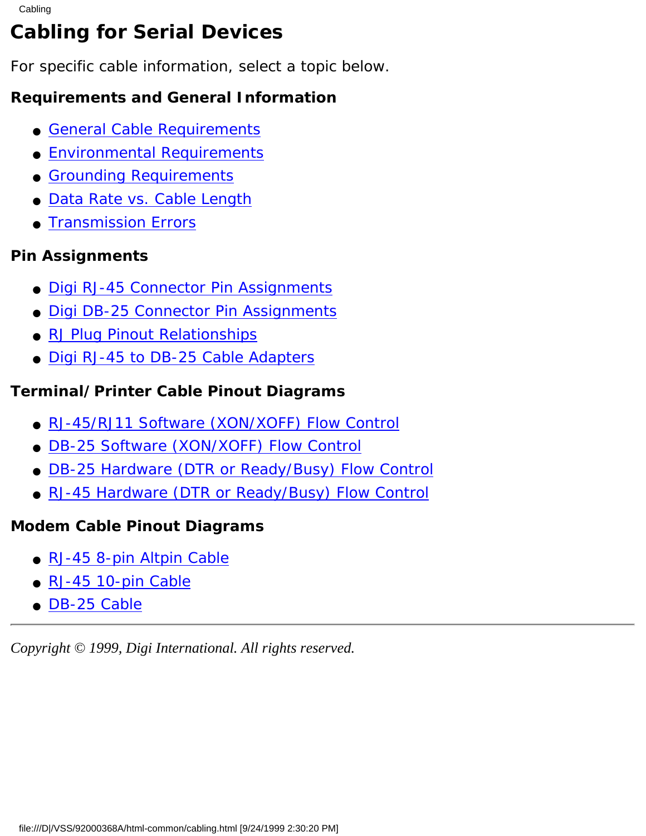# <span id="page-19-0"></span>**Cabling for Serial Devices**

For specific cable information, select a topic below.

## **Requirements and General Information**

- [General Cable Requirements](#page-25-0)
- [Environmental Requirements](#page-26-0)
- [Grounding Requirements](#page-27-0)
- [Data Rate vs. Cable Length](#page-28-0)
- [Transmission Errors](#page-29-0)

## **Pin Assignments**

- [Digi RJ-45 Connector Pin Assignments](#page-30-0)
- [Digi DB-25 Connector Pin Assignments](#page-31-0)
- [RJ Plug Pinout Relationships](#page-32-0)
- [Digi RJ-45 to DB-25 Cable Adapters](#page-33-0)

## **Terminal/Printer Cable Pinout Diagrams**

- [RJ-45/RJ11 Software \(XON/XOFF\) Flow Control](#page-34-0)
- [DB-25 Software \(XON/XOFF\) Flow Control](#page-35-0)
- [DB-25 Hardware \(DTR or Ready/Busy\) Flow Control](#page-36-0)
- [RJ-45 Hardware \(DTR or Ready/Busy\) Flow Control](#page-37-0)

## **Modem Cable Pinout Diagrams**

- [RJ-45 8-pin Altpin Cable](#page-38-0)
- [RJ-45 10-pin Cable](#page-39-0)
- [DB-25 Cable](#page-40-0)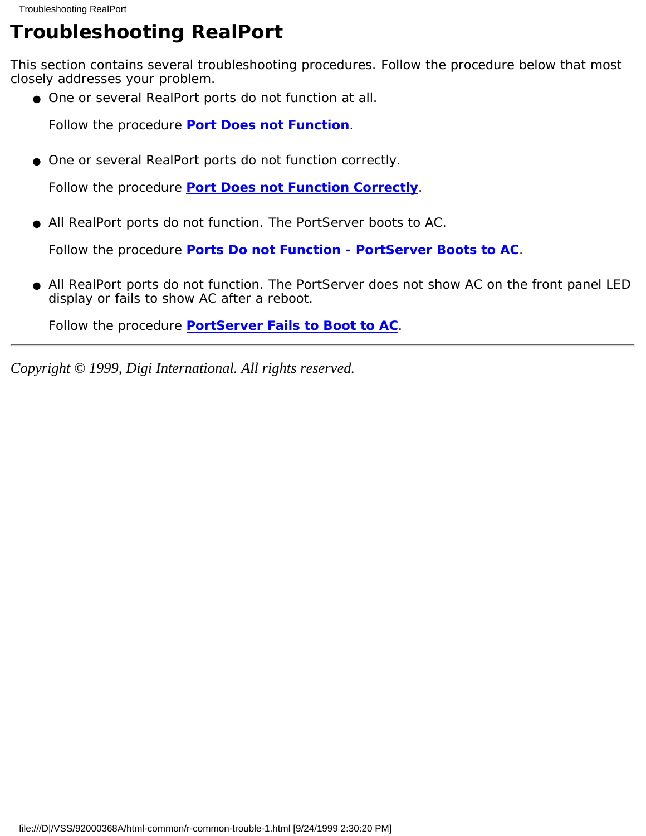# <span id="page-20-0"></span>**Troubleshooting RealPort**

This section contains several troubleshooting procedures. Follow the procedure below that most closely addresses your problem.

● One or several RealPort ports do not function at all.

Follow the procedure **[Port Does not Function](#page-41-0)**.

• One or several RealPort ports do not function correctly.

Follow the procedure **[Port Does not Function Correctly](#page-42-0)**.

All RealPort ports do not function. The PortServer boots to AC. ●

Follow the procedure **[Ports Do not Function - PortServer Boots to AC](#page-43-0)**.

• All RealPort ports do not function. The PortServer does not show AC on the front panel LED display or fails to show AC after a reboot.

Follow the procedure **[PortServer Fails to Boot to AC](#page-44-0)**.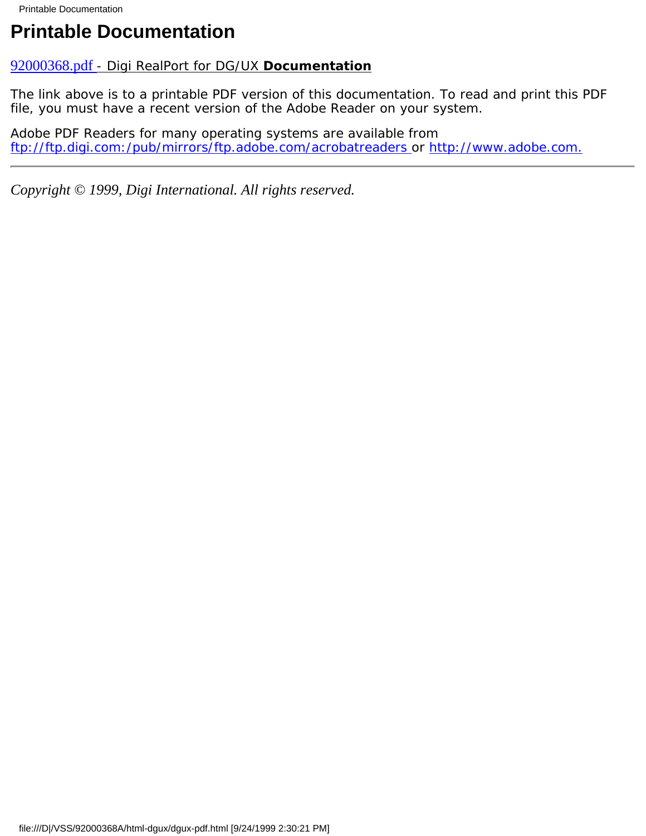# <span id="page-21-0"></span>**Printable Documentation**

### 92000368.pdf [- Digi RealPort for DG/UX](file:///D|/VSS/92000368A/html-dgux/92000368.pdf) **Documentation**

The link above is to a printable PDF version of this documentation. To read and print this PDF file, you must have a recent version of the Adobe Reader on your system.

Adobe PDF Readers for many operating systems are available from [ftp://ftp.digi.com:/pub/mirrors/ftp.adobe.com/acrobatreaders](ftp://ftp.dgii.com/pub/mirrors/ftp.adobe.com/acrobatreaders) or [http://www.adobe.com.](#page-45-0)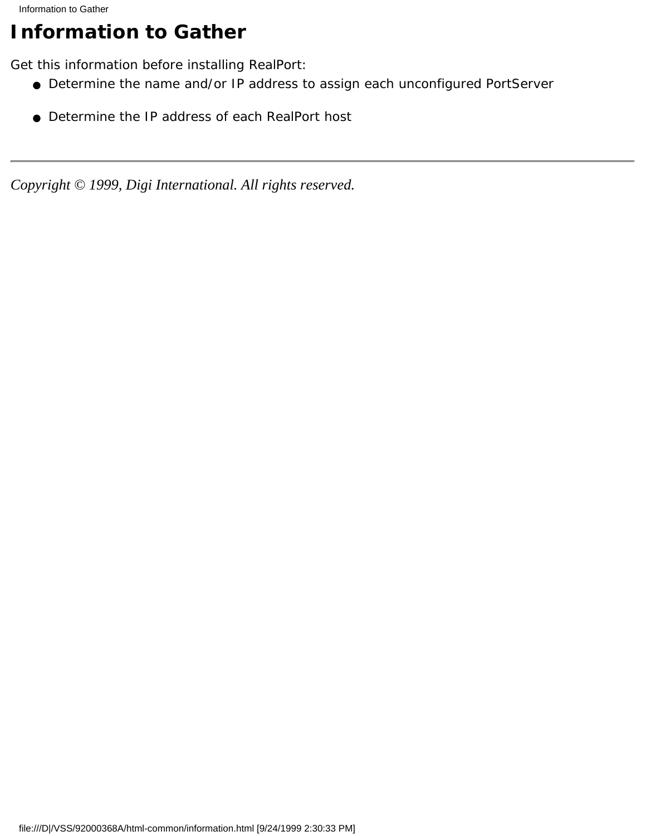# <span id="page-22-0"></span>**Information to Gather**

Get this information before installing RealPort:

- Determine the name and/or IP address to assign each unconfigured PortServer
- Determine the IP address of each RealPort host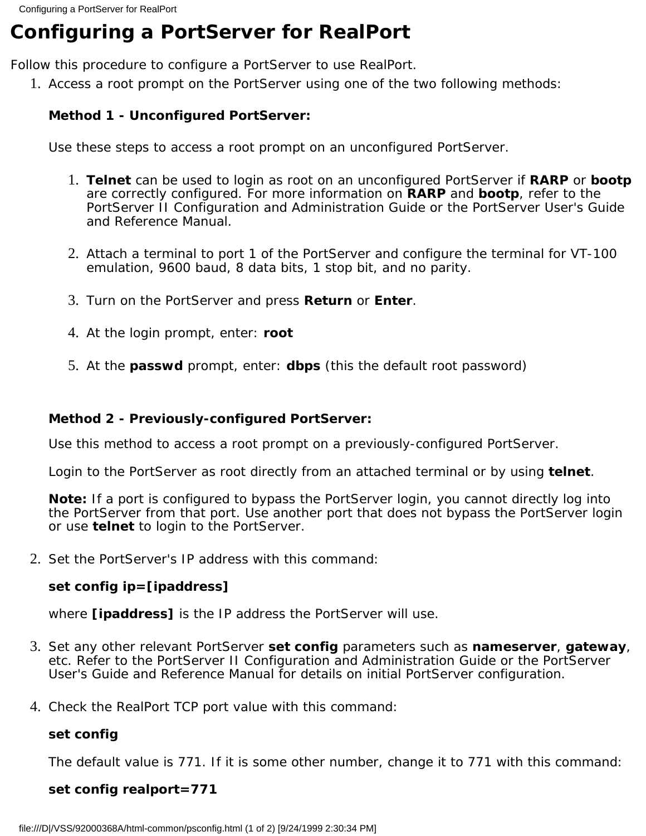# <span id="page-23-0"></span>**Configuring a PortServer for RealPort**

Follow this procedure to configure a PortServer to use RealPort.

1. Access a root prompt on the PortServer using one of the two following methods:

### **Method 1 - Unconfigured PortServer:**

Use these steps to access a root prompt on an unconfigured PortServer.

- **Telnet** can be used to login as root on an unconfigured PortServer if **RARP** or **bootp** 1. are correctly configured. For more information on **RARP** and **bootp**, refer to the *PortServer II Configuration and Administration Guide* or the *PortServer User's Guide and Reference Manual*.
- 2. Attach a terminal to port 1 of the PortServer and configure the terminal for VT-100 emulation, 9600 baud, 8 data bits, 1 stop bit, and no parity.
- 3. Turn on the PortServer and press **Return** or **Enter**.
- 4. At the login prompt, enter: **root**
- 5. At the **passwd** prompt, enter: **dbps** (this the default root password)

### **Method 2 - Previously-configured PortServer:**

Use this method to access a root prompt on a previously-configured PortServer.

Login to the PortServer as root directly from an attached terminal or by using **telnet**.

**Note:** If a port is configured to bypass the PortServer login, you cannot directly log into the PortServer from that port. Use another port that does not bypass the PortServer login or use **telnet** to login to the PortServer.

2. Set the PortServer's IP address with this command:

### **set config ip=[ipaddress]**

where **[ipaddress]** is the IP address the PortServer will use.

- Set any other relevant PortServer **set config** parameters such as **nameserver**, **gateway**, 3. etc. Refer to the *PortServer II Configuration and Administration Guide* or the *PortServer User's Guide and Reference Manual* for details on initial PortServer configuration.
- Check the RealPort TCP port value with this command: 4.

### **set config**

The default value is 771. If it is some other number, change it to 771 with this command:

### **set config realport=771**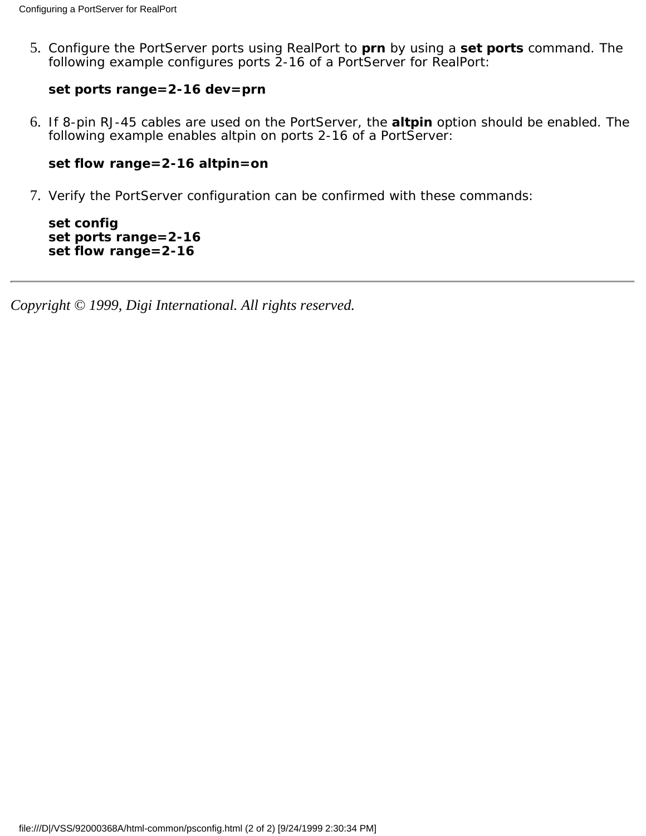5. Configure the PortServer ports using RealPort to **prn** by using a **set ports** command. The following example configures ports 2-16 of a PortServer for RealPort:

#### **set ports range=2-16 dev=prn**

6. If 8-pin RJ-45 cables are used on the PortServer, the **altpin** option should be enabled. The following example enables altpin on ports 2-16 of a PortServer:

#### **set flow range=2-16 altpin=on**

7. Verify the PortServer configuration can be confirmed with these commands:

**set config set ports range=2-16 set flow range=2-16**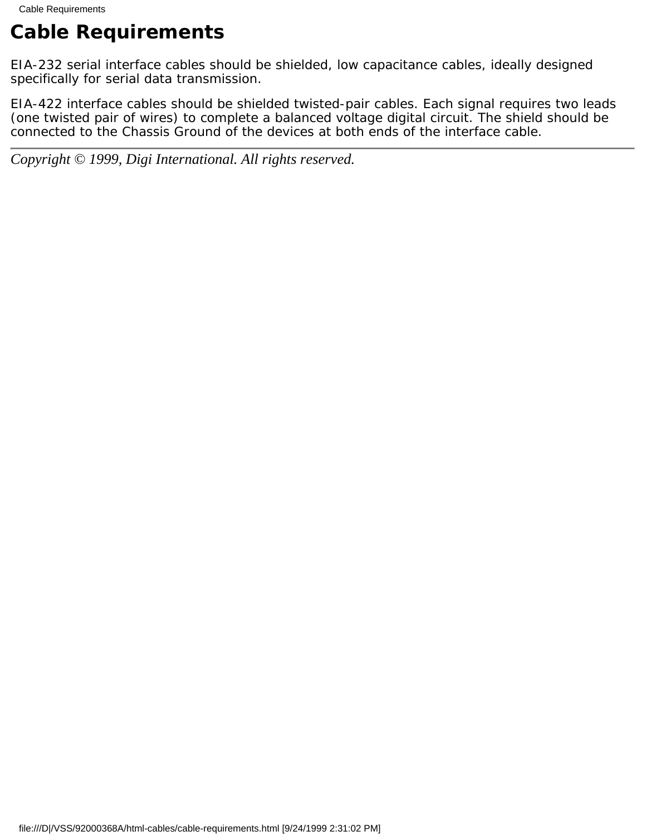# <span id="page-25-0"></span>**Cable Requirements**

EIA-232 serial interface cables should be shielded, low capacitance cables, ideally designed specifically for serial data transmission.

EIA-422 interface cables should be shielded twisted-pair cables. Each signal requires two leads (one twisted pair of wires) to complete a balanced voltage digital circuit. The shield should be connected to the Chassis Ground of the devices at *both* ends of the interface cable.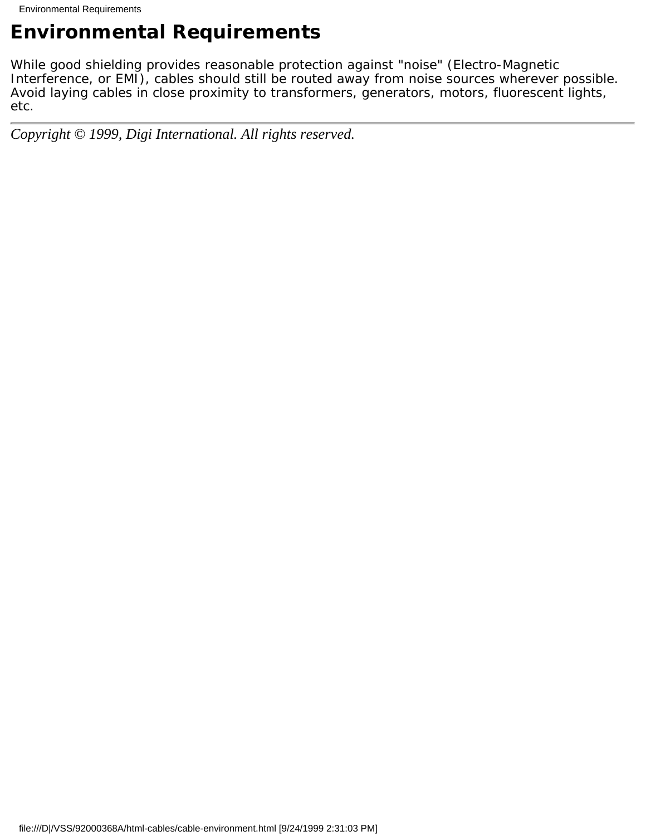# <span id="page-26-0"></span>**Environmental Requirements**

While good shielding provides reasonable protection against "noise" (Electro-Magnetic Interference, or EMI), cables should still be routed away from noise sources wherever possible. Avoid laying cables in close proximity to transformers, generators, motors, fluorescent lights, etc.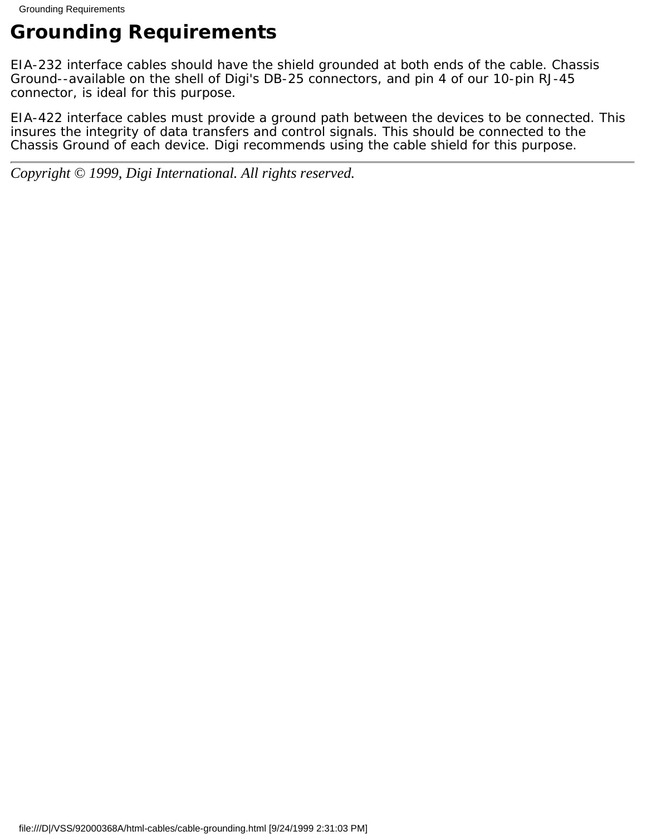# <span id="page-27-0"></span>**Grounding Requirements**

EIA-232 interface cables should have the shield grounded at both ends of the cable. Chassis Ground--available on the shell of Digi's DB-25 connectors, and pin 4 of our 10-pin RJ-45 connector, is ideal for this purpose.

EIA-422 interface cables must provide a ground path between the devices to be connected. This insures the integrity of data transfers and control signals. This should be connected to the Chassis Ground of each device. Digi recommends using the cable shield for this purpose.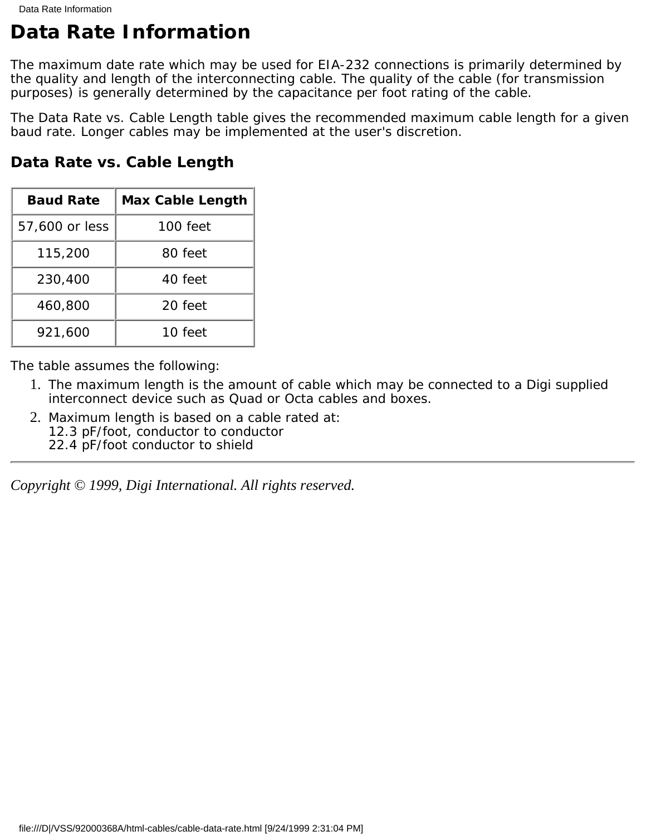# <span id="page-28-0"></span>**Data Rate Information**

The maximum date rate which may be used for EIA-232 connections is primarily determined by the quality and length of the interconnecting cable. The quality of the cable (for transmission purposes) is generally determined by the capacitance per foot rating of the cable.

The Data Rate vs. Cable Length table gives the recommended maximum cable length for a given baud rate. Longer cables may be implemented at the user's discretion.

| <b>Baud Rate</b> | <b>Max Cable Length</b> |
|------------------|-------------------------|
| 57,600 or less   | 100 feet                |
| 115,200          | 80 feet                 |
| 230,400          | 40 feet                 |
| 460,800          | 20 feet                 |
| 921,600          | 10 feet                 |

**Data Rate vs. Cable Length**

The table assumes the following:

- 1. The maximum length is the amount of cable which may be connected to a Digi supplied interconnect device such as Quad or Octa cables and boxes.
- 2. Maximum length is based on a cable rated at: 12.3 pF/foot, conductor to conductor 22.4 pF/foot conductor to shield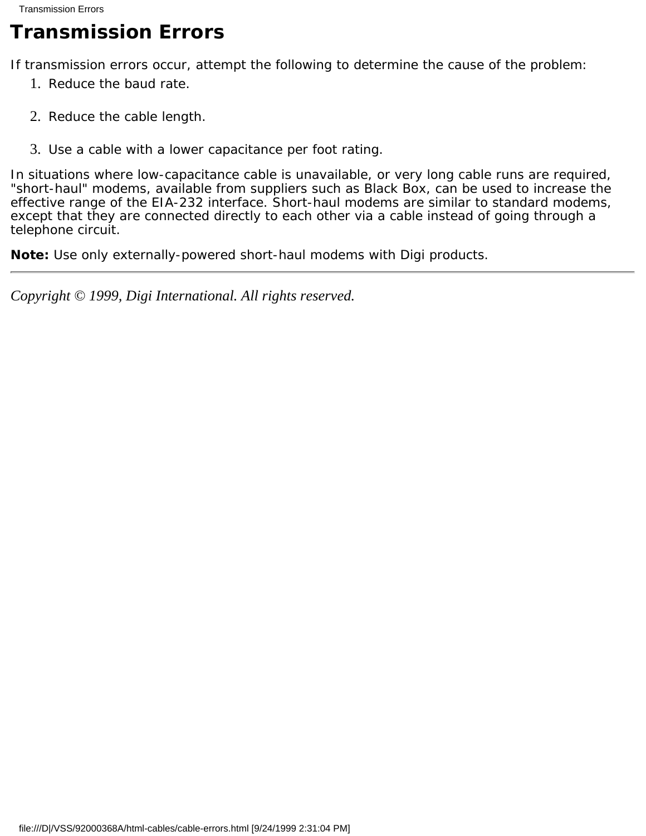# <span id="page-29-0"></span>**Transmission Errors**

If transmission errors occur, attempt the following to determine the cause of the problem:

- 1. Reduce the baud rate.
- 2. Reduce the cable length.
- 3. Use a cable with a lower capacitance per foot rating.

In situations where low-capacitance cable is unavailable, or very long cable runs are required, "short-haul" modems, available from suppliers such as Black Box, can be used to increase the effective range of the EIA-232 interface. Short-haul modems are similar to standard modems, except that they are connected directly to each other via a cable instead of going through a telephone circuit.

**Note:** Use only externally-powered short-haul modems with Digi products.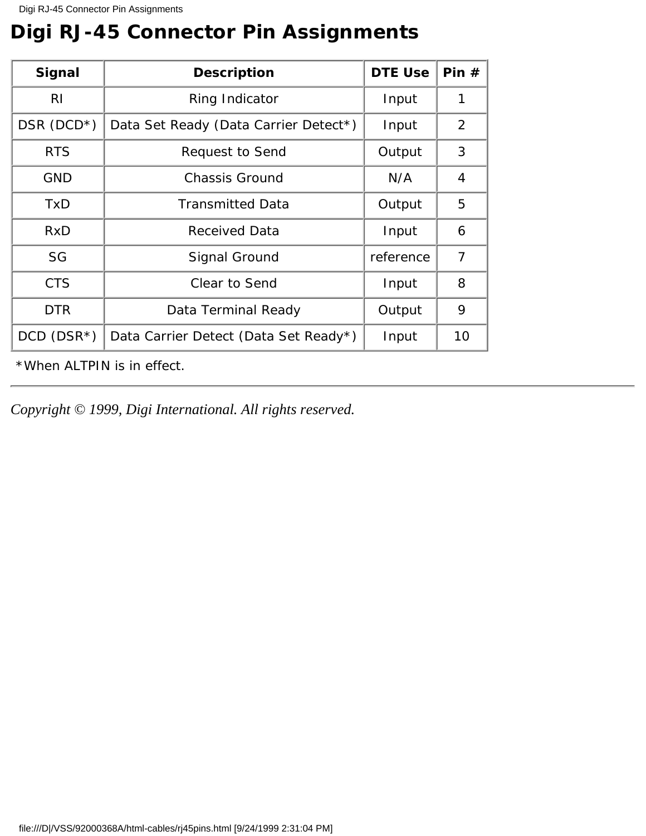# <span id="page-30-0"></span>**Digi RJ-45 Connector Pin Assignments**

| <b>Signal</b>     | <b>Description</b>                    | <b>DTE Use</b> | Pin#           |
|-------------------|---------------------------------------|----------------|----------------|
| RI                | <b>Ring Indicator</b>                 | Input          | $\mathbf{1}$   |
| DSR $(DCD^*)$     | Data Set Ready (Data Carrier Detect*) | Input          | 2              |
| <b>RTS</b>        | <b>Request to Send</b>                | Output         | 3              |
| <b>GND</b>        | <b>Chassis Ground</b>                 | N/A            | $\overline{4}$ |
| TxD               | <b>Transmitted Data</b>               | Output         | $\overline{5}$ |
| RxD               | <b>Received Data</b>                  | Input          | 6              |
| SG                | <b>Signal Ground</b>                  | reference      | 7              |
| <b>CTS</b>        | <b>Clear to Send</b>                  | Input          | 8              |
| <b>DTR</b>        | Data Terminal Ready                   | Output         | 9              |
| $DCD$ ( $DSR^*$ ) | Data Carrier Detect (Data Set Ready*) | Input          | 10             |

\*When ALTPIN is in effect.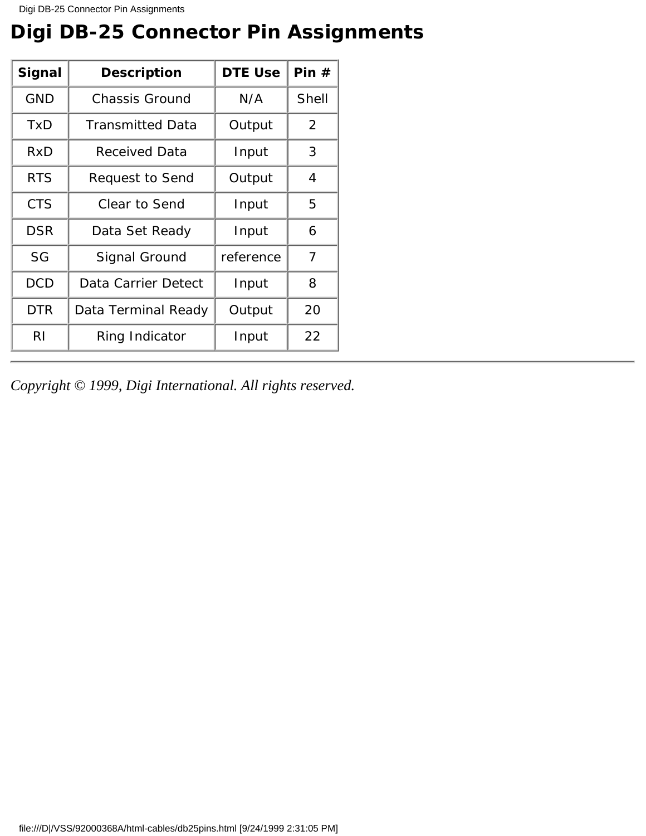# <span id="page-31-0"></span>**Digi DB-25 Connector Pin Assignments**

| Signal     | <b>Description</b>         | <b>DTE Use</b> | Pin#         |
|------------|----------------------------|----------------|--------------|
| <b>GND</b> | <b>Chassis Ground</b>      | N/A            | <b>Shell</b> |
| TxD        | <b>Transmitted Data</b>    | Output         | 2            |
| RxD        | <b>Received Data</b>       | Input          | 3            |
| <b>RTS</b> | <b>Request to Send</b>     | Output         | 4            |
| <b>CTS</b> | <b>Clear to Send</b>       | Input          | 5            |
| <b>DSR</b> | Data Set Ready             | Input          | 6            |
| SG         | <b>Signal Ground</b>       | reference      | 7            |
| <b>DCD</b> | Data Carrier Detect        | Input          | 8            |
| <b>DTR</b> | <b>Data Terminal Ready</b> | Output         | 20           |
| RI         | Ring Indicator             | Input          | 22           |

*Copyright © 1999, Digi International. All rights reserved.*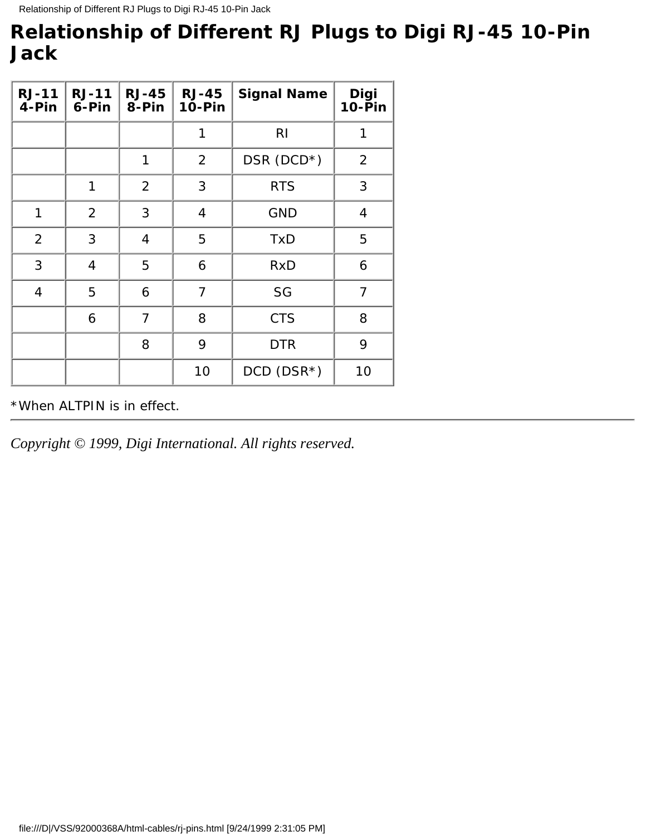## <span id="page-32-0"></span>**Relationship of Different RJ Plugs to Digi RJ-45 10-Pin Jack**

| $RJ-11$<br>4-Pin        | $RJ-11$<br>6-Pin        | $RJ-45$<br>8-Pin        | $RJ-45$<br><b>10-Pin</b> | <b>Signal Name</b> | <b>Digi<br/>10-Pin</b>  |
|-------------------------|-------------------------|-------------------------|--------------------------|--------------------|-------------------------|
|                         |                         |                         | $\mathbf{1}$             | RI                 | $\mathbf{1}$            |
|                         |                         | $\mathbf{1}$            | $\boldsymbol{2}$         | $DSR (DCD*)$       | $\boldsymbol{2}$        |
|                         | $\mathbf{1}$            | $\boldsymbol{2}$        | 3                        | <b>RTS</b>         | 3                       |
| $\mathbf{1}$            | $\boldsymbol{2}$        | 3                       | $\boldsymbol{4}$         | <b>GND</b>         | $\overline{\mathbf{4}}$ |
| 2                       | 3                       | $\overline{\mathbf{4}}$ | $\overline{5}$           | <b>TxD</b>         | $\overline{5}$          |
| 3                       | $\overline{\mathbf{4}}$ | $\mathbf 5$             | 6                        | <b>RxD</b>         | 6                       |
| $\overline{\mathbf{4}}$ | $\overline{5}$          | 6                       | 7                        | SG                 | 7                       |
|                         | 6                       | 7                       | 8                        | <b>CTS</b>         | 8                       |
|                         |                         | 8                       | 9                        | <b>DTR</b>         | 9                       |
|                         |                         |                         | 10                       | $DCD$ $(DSR*)$     | 10                      |

\*When ALTPIN is in effect.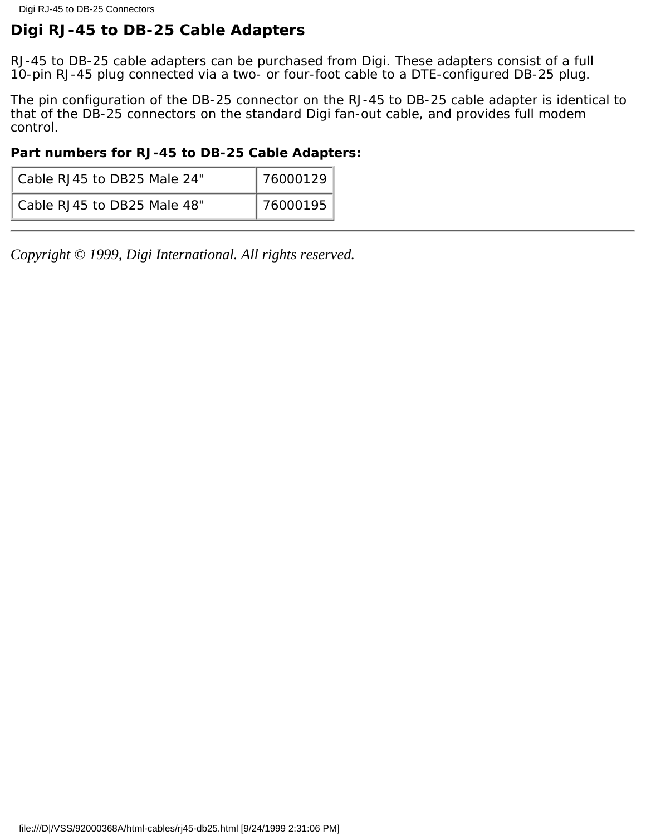## <span id="page-33-0"></span>**Digi RJ-45 to DB-25 Cable Adapters**

RJ-45 to DB-25 cable adapters can be purchased from Digi. These adapters consist of a full 10-pin RJ-45 plug connected via a two- or four-foot cable to a DTE-configured DB-25 plug.

The pin configuration of the DB-25 connector on the RJ-45 to DB-25 cable adapter is identical to that of the DB-25 connectors on the standard Digi fan-out cable, and provides full modem control.

### **Part numbers for RJ-45 to DB-25 Cable Adapters:**

| Cable RJ45 to DB25 Male 24" | 76000129 |
|-----------------------------|----------|
| Cable RJ45 to DB25 Male 48" | 76000195 |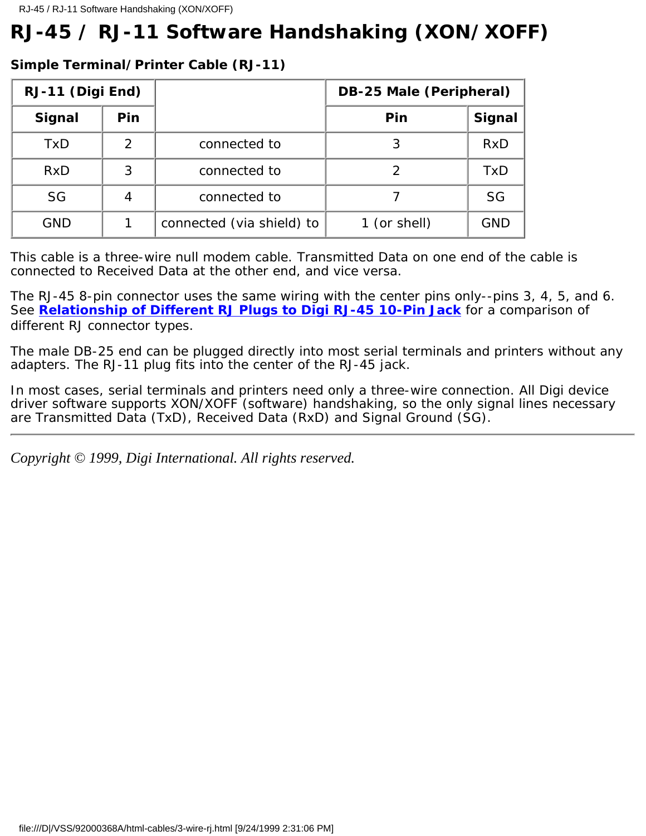# <span id="page-34-0"></span>**RJ-45 / RJ-11 Software Handshaking (XON/XOFF)**

### **Simple Terminal/Printer Cable (RJ-11)**

| RJ-11 (Digi End) |                  |                           | <b>DB-25 Male (Peripheral)</b> |               |
|------------------|------------------|---------------------------|--------------------------------|---------------|
| <b>Signal</b>    | Pin              |                           | Pin                            | <b>Signal</b> |
| <b>TxD</b>       | $\boldsymbol{2}$ | connected to              | 3                              | <b>RxD</b>    |
| <b>RxD</b>       | 3                | connected to              | 2                              | <b>TxD</b>    |
| <b>SG</b>        | 4                | connected to              |                                | SG            |
| <b>GND</b>       |                  | connected (via shield) to | 1 (or shell)                   | <b>GND</b>    |

This cable is a three-wire null modem cable. Transmitted Data on one end of the cable is connected to Received Data at the other end, and vice versa.

The RJ-45 8-pin connector uses the same wiring with the center pins only--pins 3, 4, 5, and 6. See **[Relationship of Different RJ Plugs to Digi RJ-45 10-Pin Jack](#page-32-0)** for a comparison of different RJ connector types.

The male DB-25 end can be plugged directly into most serial terminals and printers without any adapters. The RJ-11 plug fits into the center of the RJ-45 jack.

In most cases, serial terminals and printers need only a three-wire connection. All Digi device driver software supports XON/XOFF (software) handshaking, so the only signal lines necessary are Transmitted Data (TxD), Received Data (RxD) and Signal Ground (SG).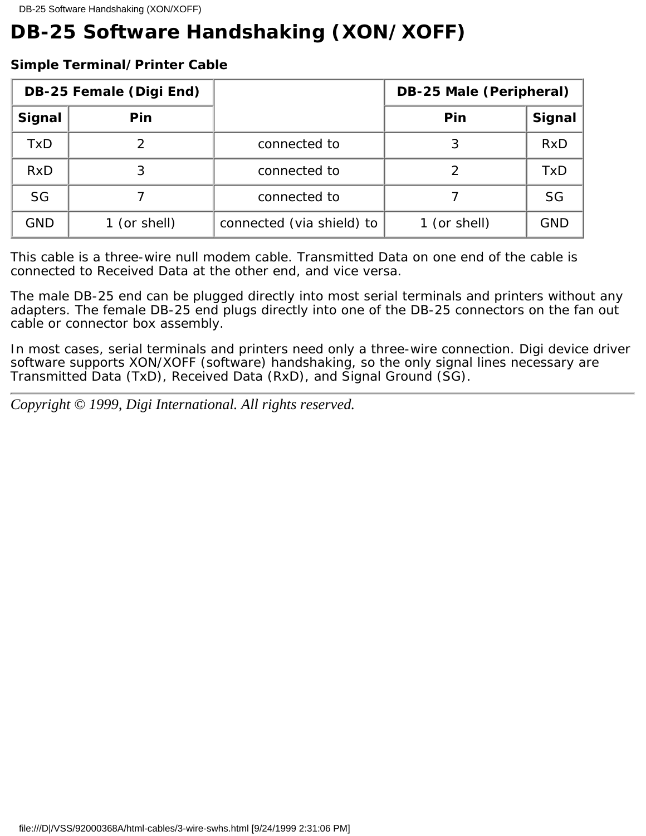# <span id="page-35-0"></span>**DB-25 Software Handshaking (XON/XOFF)**

### **Simple Terminal/Printer Cable**

| <b>DB-25 Female (Digi End)</b> |              |                           | <b>DB-25 Male (Peripheral)</b> |               |
|--------------------------------|--------------|---------------------------|--------------------------------|---------------|
| <b>Signal</b>                  | Pin          |                           | Pin                            | <b>Signal</b> |
| TxD                            | 2            | connected to              | 3                              | RxD           |
| RxD                            | 3            | connected to              |                                | <b>TxD</b>    |
| <b>SG</b>                      |              | connected to              |                                | <b>SG</b>     |
| <b>GND</b>                     | 1 (or shell) | connected (via shield) to | 1 (or shell)                   | <b>GND</b>    |

This cable is a three-wire null modem cable. Transmitted Data on one end of the cable is connected to Received Data at the other end, and vice versa.

The male DB-25 end can be plugged directly into most serial terminals and printers without any adapters. The female DB-25 end plugs directly into one of the DB-25 connectors on the fan out cable or connector box assembly.

In most cases, serial terminals and printers need only a three-wire connection. Digi device driver software supports XON/XOFF (software) handshaking, so the only signal lines necessary are Transmitted Data (TxD), Received Data (RxD), and Signal Ground (SG).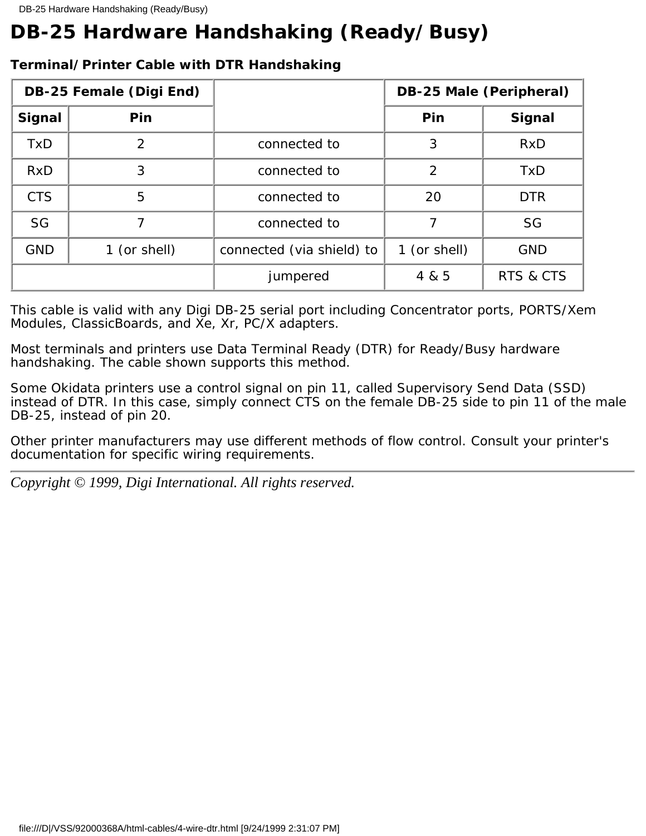# <span id="page-36-0"></span>**DB-25 Hardware Handshaking (Ready/Busy)**

| <b>DB-25 Female (Digi End)</b> |                  |                           |                  | <b>DB-25 Male (Peripheral)</b> |
|--------------------------------|------------------|---------------------------|------------------|--------------------------------|
| Signal                         | Pin              |                           | Pin              | <b>Signal</b>                  |
| <b>TxD</b>                     | $\boldsymbol{2}$ | connected to              | 3                | <b>RxD</b>                     |
| RxD                            | 3                | connected to              | $\boldsymbol{2}$ | <b>TxD</b>                     |
| <b>CTS</b>                     | $\overline{5}$   | connected to              | 20               | <b>DTR</b>                     |
| <b>SG</b>                      | 7                | connected to              | 7                | SG                             |
| <b>GND</b>                     | 1 (or shell)     | connected (via shield) to | 1 (or shell)     | <b>GND</b>                     |
|                                |                  | jumpered                  | 4 & 5            | <b>RTS &amp; CTS</b>           |

## **Terminal/Printer Cable with DTR Handshaking**

This cable is valid with any Digi DB-25 serial port including Concentrator ports, PORTS/Xem Modules, ClassicBoards, and Xe, Xr, PC/X adapters.

Most terminals and printers use Data Terminal Ready (DTR) for Ready/Busy hardware handshaking. The cable shown supports this method.

Some Okidata printers use a control signal on pin 11, called Supervisory Send Data (SSD) instead of DTR. In this case, simply connect CTS on the female DB-25 side to pin 11 of the male DB-25, instead of pin 20.

Other printer manufacturers may use different methods of flow control. Consult your printer's documentation for specific wiring requirements.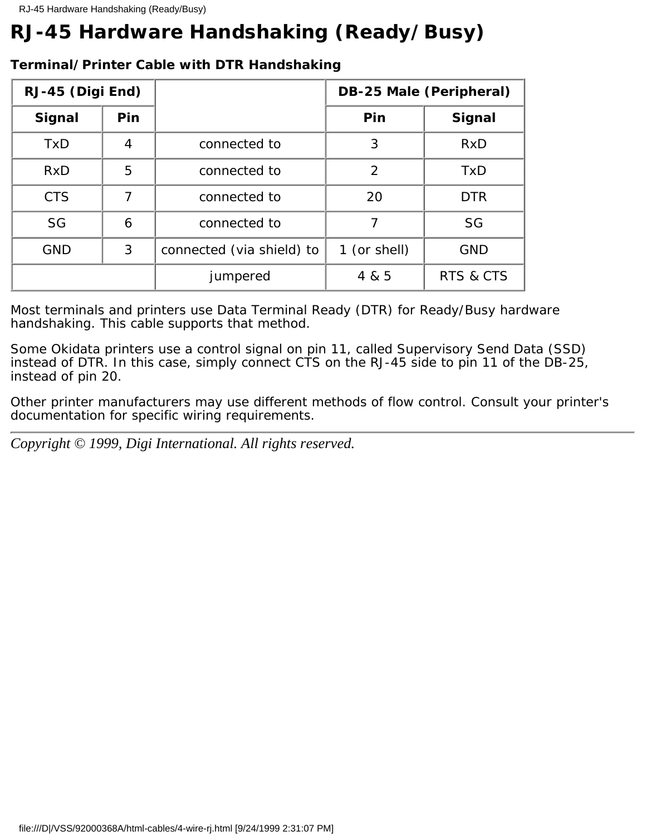# <span id="page-37-0"></span>**RJ-45 Hardware Handshaking (Ready/Busy)**

| RJ-45 (Digi End) |                |                           |                  | <b>DB-25 Male (Peripheral)</b> |
|------------------|----------------|---------------------------|------------------|--------------------------------|
| <b>Signal</b>    | Pin            |                           | Pin              | <b>Signal</b>                  |
| <b>TxD</b>       | 4              | connected to              | 3                | <b>RxD</b>                     |
| RxD              | $\overline{5}$ | connected to              | $\boldsymbol{2}$ | <b>TxD</b>                     |
| <b>CTS</b>       | 7              | connected to              | 20               | <b>DTR</b>                     |
| <b>SG</b>        | 6              | connected to              | 7                | <b>SG</b>                      |
| <b>GND</b>       | 3              | connected (via shield) to | 1 (or shell)     | <b>GND</b>                     |
|                  |                | jumpered                  | 4 & 5            | <b>RTS &amp; CTS</b>           |

### **Terminal/Printer Cable with DTR Handshaking**

Most terminals and printers use Data Terminal Ready (DTR) for Ready/Busy hardware handshaking. This cable supports that method.

Some Okidata printers use a control signal on pin 11, called Supervisory Send Data (SSD) instead of DTR. In this case, simply connect CTS on the RJ-45 side to pin 11 of the DB-25, instead of pin 20.

Other printer manufacturers may use different methods of flow control. Consult your printer's documentation for specific wiring requirements.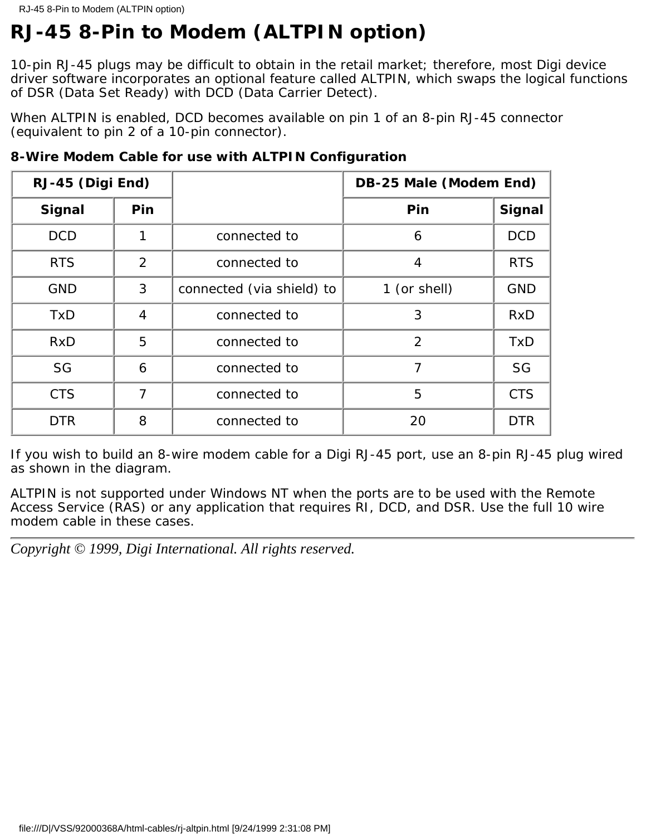# <span id="page-38-0"></span>**RJ-45 8-Pin to Modem (ALTPIN option)**

10-pin RJ-45 plugs may be difficult to obtain in the retail market; therefore, most Digi device driver software incorporates an optional feature called ALTPIN, which swaps the logical functions of DSR (Data Set Ready) with DCD (Data Carrier Detect).

When ALTPIN is enabled, DCD becomes available on pin 1 of an 8-pin RJ-45 connector (equivalent to pin 2 of a 10-pin connector).

| RJ-45 (Digi End) |                  |                           | <b>DB-25 Male (Modem End)</b> |               |
|------------------|------------------|---------------------------|-------------------------------|---------------|
| <b>Signal</b>    | Pin              |                           | Pin                           | <b>Signal</b> |
| <b>DCD</b>       | 1                | connected to              | $\boldsymbol{6}$              | <b>DCD</b>    |
| <b>RTS</b>       | $\overline{2}$   | connected to              | $\overline{\mathbf{4}}$       | <b>RTS</b>    |
| <b>GND</b>       | 3                | connected (via shield) to | 1 (or shell)                  | <b>GND</b>    |
| <b>TxD</b>       | $\boldsymbol{4}$ | connected to              | 3                             | <b>RxD</b>    |
| RxD              | 5                | connected to              | $\overline{2}$                | <b>TxD</b>    |
| <b>SG</b>        | $\boldsymbol{6}$ | connected to              | 7                             | <b>SG</b>     |
| <b>CTS</b>       | 7                | connected to              | $\overline{5}$                | <b>CTS</b>    |
| <b>DTR</b>       | 8                | connected to              | 20                            | <b>DTR</b>    |

**8-Wire Modem Cable for use with ALTPIN Configuration**

If you wish to build an 8-wire modem cable for a Digi RJ-45 port, use an 8-pin RJ-45 plug wired as shown in the diagram.

ALTPIN is not supported under Windows NT when the ports are to be used with the Remote Access Service (RAS) or any application that requires RI, DCD, and DSR. Use the full 10 wire modem cable in these cases.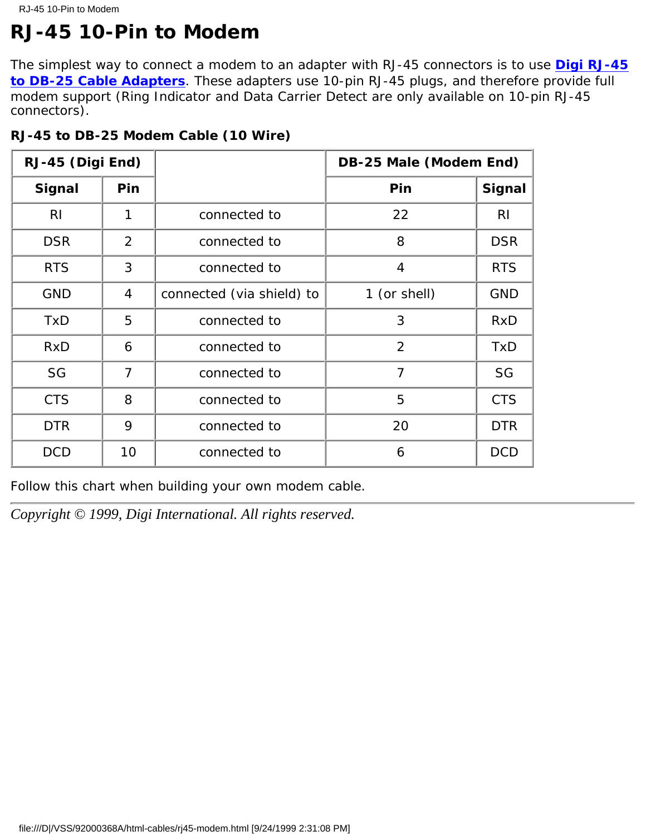# <span id="page-39-0"></span>**RJ-45 10-Pin to Modem**

The simplest way to connect a modem to an adapter with RJ-45 connectors is to use **[Digi RJ-45](file:///D|/VSS/92000368A/html-cables/rj-45.html) [to DB-25 Cable Adapters](file:///D|/VSS/92000368A/html-cables/rj-45.html)**. These adapters use 10-pin RJ-45 plugs, and therefore provide full modem support (Ring Indicator and Data Carrier Detect are only available on 10-pin RJ-45 connectors).

| RJ-45 (Digi End) |                         |                           | <b>DB-25 Male (Modem End)</b> |               |
|------------------|-------------------------|---------------------------|-------------------------------|---------------|
| <b>Signal</b>    | Pin                     |                           | Pin                           | <b>Signal</b> |
| RI               | $\mathbf{1}$            | connected to              | 22                            | RI            |
| <b>DSR</b>       | $\boldsymbol{2}$        | connected to              | 8                             | <b>DSR</b>    |
| <b>RTS</b>       | 3                       | connected to              | $\overline{\mathbf{4}}$       | <b>RTS</b>    |
| <b>GND</b>       | $\overline{\mathbf{4}}$ | connected (via shield) to | 1 (or shell)                  | <b>GND</b>    |
| <b>TxD</b>       | $\overline{5}$          | connected to              | 3                             | <b>RxD</b>    |
| <b>RxD</b>       | 6                       | connected to              | $\boldsymbol{2}$              | <b>TxD</b>    |
| <b>SG</b>        | $\overline{7}$          | connected to              | 7                             | <b>SG</b>     |
| <b>CTS</b>       | 8                       | connected to              | $\overline{5}$                | <b>CTS</b>    |
| <b>DTR</b>       | 9                       | connected to              | 20                            | <b>DTR</b>    |
| <b>DCD</b>       | 10                      | connected to              | 6                             | <b>DCD</b>    |

### **RJ-45 to DB-25 Modem Cable (10 Wire)**

### Follow this chart when building your own modem cable.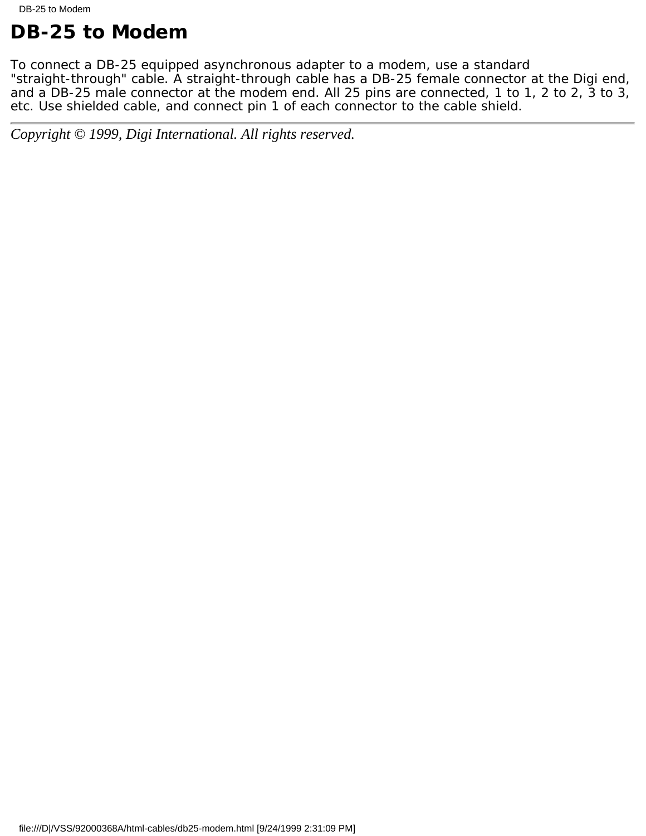# <span id="page-40-0"></span>**DB-25 to Modem**

To connect a DB-25 equipped asynchronous adapter to a modem, use a standard "straight-through" cable. A straight-through cable has a DB-25 female connector at the Digi end, and a DB-25 male connector at the modem end. All 25 pins are connected, 1 to 1, 2 to 2, 3 to 3, etc. Use shielded cable, and connect pin 1 of each connector to the cable shield.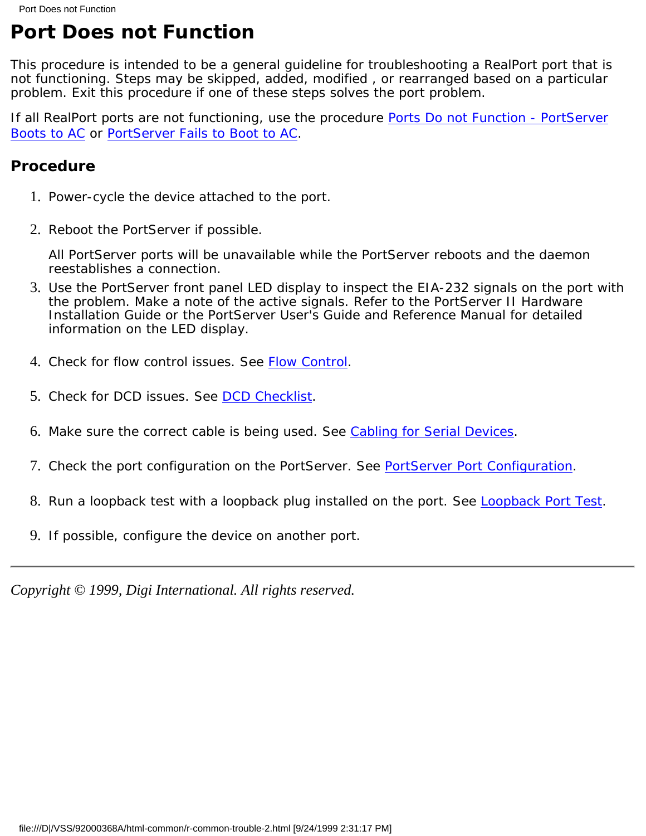# <span id="page-41-0"></span>**Port Does not Function**

This procedure is intended to be a general guideline for troubleshooting a RealPort port that is not functioning. Steps may be skipped, added, modified , or rearranged based on a particular problem. Exit this procedure if one of these steps solves the port problem.

If all RealPort ports are not functioning, use the procedure [Ports Do not Function - PortServer](#page-43-0) [Boots to AC](#page-43-0) or [PortServer Fails to Boot to AC](#page-44-0).

## **Procedure**

- 1. Power-cycle the device attached to the port.
- 2. Reboot the PortServer if possible.

All PortServer ports will be unavailable while the PortServer reboots and the daemon reestablishes a connection.

- Use the PortServer front panel LED display to inspect the EIA-232 signals on the port with 3. the problem. Make a note of the active signals. Refer to the *PortServer II Hardware Installation Guide* or the *PortServer User's Guide and Reference Manual* for detailed information on the LED display.
- 4. Check for flow control issues. See [Flow Control](file:///D|/VSS/92000368A/html-common/r-common-trouble-11.html).
- 5. Check for DCD issues. See [DCD Checklist.](file:///D|/VSS/92000368A/html-common/r-common-trouble-6.html)
- 6. Make sure the correct cable is being used. See [Cabling for Serial Devices](#page-19-0).
- 7. Check the port configuration on the PortServer. See [PortServer Port Configuration.](file:///D|/VSS/92000368A/html-common/r-common-trouble-7.html)
- 8. Run a loopback test with a loopback plug installed on the port. See [Loopback Port Test.](file:///D|/VSS/92000368A/html-common/r-common-trouble-12.html)
- 9. If possible, configure the device on another port.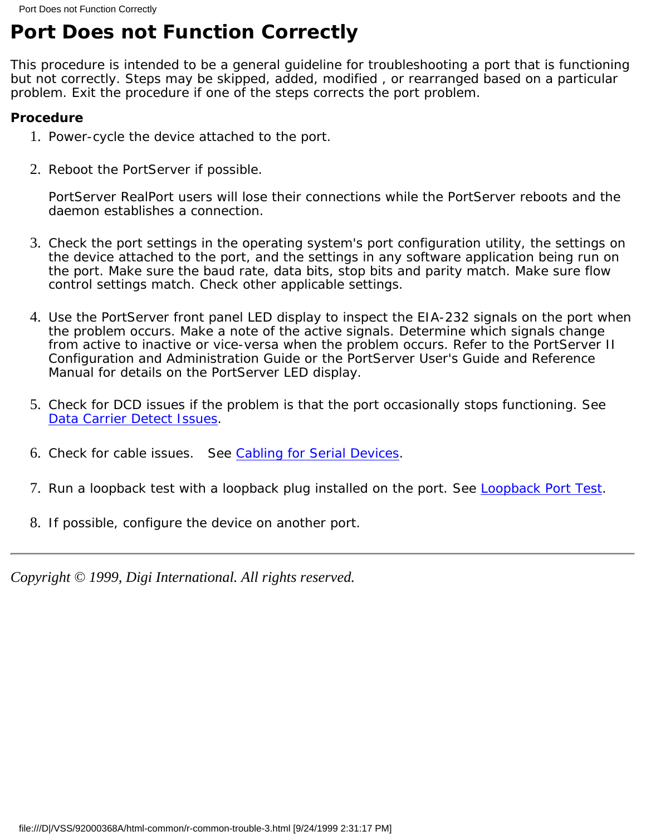# <span id="page-42-0"></span>**Port Does not Function Correctly**

This procedure is intended to be a general guideline for troubleshooting a port that is functioning but not correctly. Steps may be skipped, added, modified , or rearranged based on a particular problem. Exit the procedure if one of the steps corrects the port problem.

## **Procedure**

- 1. Power-cycle the device attached to the port.
- 2. Reboot the PortServer if possible.

PortServer RealPort users will lose their connections while the PortServer reboots and the daemon establishes a connection.

- Check the port settings in the operating system's port configuration utility, the settings on 3. the device attached to the port, and the settings in any software application being run on the port. Make sure the baud rate, data bits, stop bits and parity match. Make sure flow control settings match. Check other applicable settings.
- Use the PortServer front panel LED display to inspect the EIA-232 signals on the port when 4. the problem occurs. Make a note of the active signals. Determine which signals change from active to inactive or vice-versa when the problem occurs. Refer to the *PortServer II Configuration and Administration Guide* or the *PortServer User's Guide and Reference Manual* for details on the PortServer LED display.
- 5. Check for DCD issues if the problem is that the port occasionally stops functioning. See [Data Carrier Detect Issues](file:///D|/VSS/92000368A/html-common/r-common-trouble-6.html).
- 6. Check for cable issues. See [Cabling for Serial Devices](#page-19-0).
- 7. Run a loopback test with a loopback plug installed on the port. See [Loopback Port Test.](file:///D|/VSS/92000368A/html-common/r-common-trouble-12.html)
- 8. If possible, configure the device on another port.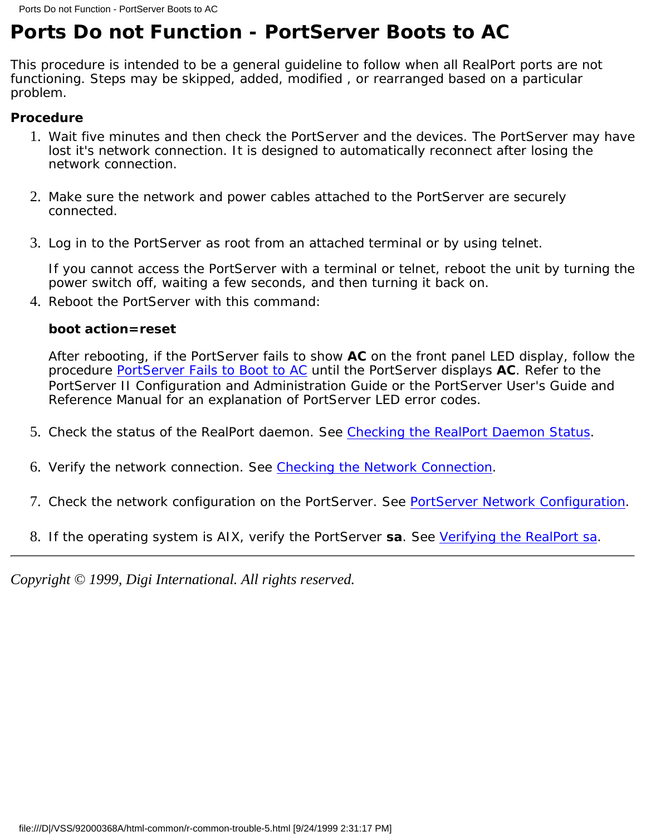# <span id="page-43-0"></span>**Ports Do not Function - PortServer Boots to AC**

This procedure is intended to be a general guideline to follow when all RealPort ports are not functioning. Steps may be skipped, added, modified , or rearranged based on a particular problem.

### **Procedure**

- Wait five minutes and then check the PortServer and the devices. The PortServer may have 1. lost it's network connection. It is designed to automatically reconnect after losing the network connection.
- Make sure the network and power cables attached to the PortServer are securely 2. connected.
- 3. Log in to the PortServer as root from an attached terminal or by using telnet.

If you cannot access the PortServer with a terminal or telnet, reboot the unit by turning the power switch off, waiting a few seconds, and then turning it back on.

4. Reboot the PortServer with this command:

### **boot action=reset**

After rebooting, if the PortServer fails to show **AC** on the front panel LED display, follow the procedure [PortServer Fails to Boot to AC](#page-44-0) until the PortServer displays **AC**. Refer to the *PortServer II Configuration and Administration Guide* or the *PortServer User's Guide and Reference Manual* for an explanation of PortServer LED error codes.

- 5. Check the status of the RealPort daemon. See [Checking the RealPort Daemon Status.](file:///D|/VSS/92000368A/html-common/r-common-trouble-9.html)
- 6. Verify the network connection. See [Checking the Network Connection.](file:///D|/VSS/92000368A/html-common/r-common-trouble-8.html)
- 7. Check the network configuration on the PortServer. See [PortServer Network Configuration.](file:///D|/VSS/92000368A/html-common/r-common-trouble-10.html)
- 8. If the operating system is AIX, verify the PortServer **sa**. See [Verifying the RealPort sa](file:///D|/VSS/92000368A/html-common/r-common-trouble-14.html).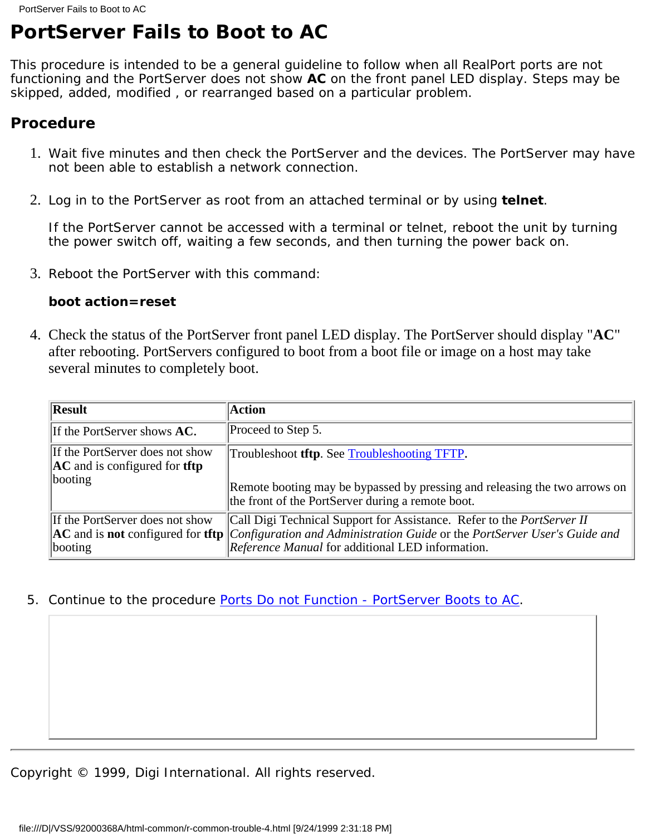# <span id="page-44-0"></span>**PortServer Fails to Boot to AC**

This procedure is intended to be a general guideline to follow when all RealPort ports are not functioning and the PortServer does not show **AC** on the front panel LED display. Steps may be skipped, added, modified , or rearranged based on a particular problem.

## **Procedure**

- Wait five minutes and then check the PortServer and the devices. The PortServer may have 1. not been able to establish a network connection.
- Log in to the PortServer as root from an attached terminal or by using **telnet**. 2.

If the PortServer cannot be accessed with a terminal or telnet, reboot the unit by turning the power switch off, waiting a few seconds, and then turning the power back on.

3. Reboot the PortServer with this command:

### **boot action=reset**

Check the status of the PortServer front panel LED display. The PortServer should display "**AC**" 4. after rebooting. PortServers configured to boot from a boot file or image on a host may take several minutes to completely boot.

| <b>Result</b>                                                                                     | <b>Action</b>                                                                                                                                                                                                                                                           |
|---------------------------------------------------------------------------------------------------|-------------------------------------------------------------------------------------------------------------------------------------------------------------------------------------------------------------------------------------------------------------------------|
| If the PortServer shows AC.                                                                       | Proceed to Step 5.                                                                                                                                                                                                                                                      |
| If the PortServer does not show<br>$\boldsymbol{AC}$ and is configured for <b>tftp</b><br>booting | Troubleshoot <b>tftp.</b> See Troubleshooting TFTP.<br>Remote booting may be bypassed by pressing and releasing the two arrows on<br>the front of the PortServer during a remote boot.                                                                                  |
| If the PortServer does not show<br>booting                                                        | Call Digi Technical Support for Assistance. Refer to the <i>PortServer II</i><br>$\vert$ AC and is not configured for tftp $\vert$ Configuration and Administration Guide or the PortServer User's Guide and<br><i>Reference Manual</i> for additional LED information. |

5. Continue to the procedure [Ports Do not Function - PortServer Boots to AC](#page-43-0).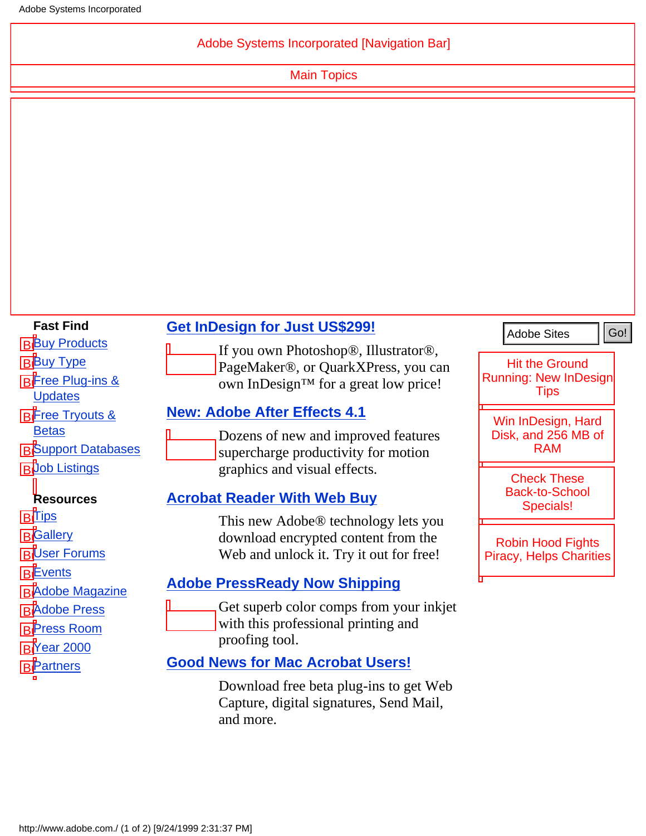## Adobe Systems Incorporated [N[avigation](http://www.adobe.com./misc/sitemap.html) [Bar\]](http://www.adobe.com./misc/siteindex.html)

[Main](http://www.adobe.com./solutions/main.html) [Topics](http://www.adobe.com./studio/main.html)

<span id="page-45-0"></span>

| <b>Fast Find</b>                                                                          | <b>Get InDesign for Just US\$299!</b>                                                                                             | <b>Adobe Sites</b>                                         |
|-------------------------------------------------------------------------------------------|-----------------------------------------------------------------------------------------------------------------------------------|------------------------------------------------------------|
| <b>BBuy Products</b><br><b>BBuy Type</b>                                                  | If you own Photoshop®, Illustrator®,<br>PageMaker®, or QuarkXPress, you can                                                       | <b>Hit the Ground</b>                                      |
| <b>BFree Plug-ins &amp;</b><br><b>Updates</b>                                             | own InDesign™ for a great low price!                                                                                              | <b>Running: New InDesign</b><br><b>Tips</b>                |
| <b>BFree Tryouts &amp;</b>                                                                | <b>New: Adobe After Effects 4.1</b>                                                                                               | Win InDesign, Hard                                         |
| <b>Betas</b><br><b>B</b> Support Databases                                                | Dozens of new and improved features<br>supercharge productivity for motion                                                        | Disk, and 256 MB of<br><b>RAM</b>                          |
| <b>BUob Listings</b>                                                                      | graphics and visual effects.                                                                                                      | <b>Check These</b><br><b>Back-to-School</b>                |
| <b>Resources</b>                                                                          | <b>Acrobat Reader With Web Buy</b>                                                                                                | Specials!                                                  |
| <b>BITips</b><br><b>B</b> Gallery<br><b>BUser Forums</b>                                  | This new Adobe <sup>®</sup> technology lets you<br>download encrypted content from the<br>Web and unlock it. Try it out for free! | <b>Robin Hood Fights</b><br><b>Piracy, Helps Charities</b> |
| <b>BE</b> vents                                                                           | <b>Adobe PressReady Now Shipping</b>                                                                                              |                                                            |
| <b>BAdobe Magazine</b><br><b>BAdobe Press</b><br><b>BPress Room</b><br><b>BY</b> ear 2000 | Get superb color comps from your inkjet<br>with this professional printing and<br>proofing tool.                                  |                                                            |
| <b>BPartners</b>                                                                          | <b>Good News for Mac Acrobat Users!</b>                                                                                           |                                                            |
|                                                                                           | Download free beta plug-ins to get Web<br>Capture, digital signatures, Send Mail,<br>and more.                                    |                                                            |